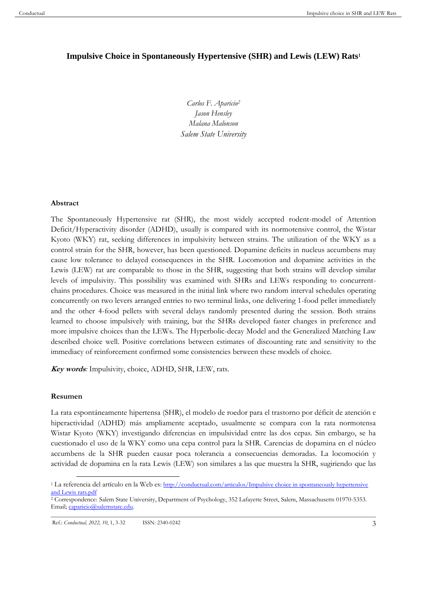# **Impulsive Choice in Spontaneously Hypertensive (SHR) and Lewis (LEW) Rats<sup>1</sup>**

*Carlos F. Aparicio<sup>2</sup> Jason Hensley Malana Malonson Salem State University*

#### **Abstract**

The Spontaneously Hypertensive rat (SHR), the most widely accepted rodent-model of Attention Deficit/Hyperactivity disorder (ADHD), usually is compared with its normotensive control, the Wistar Kyoto (WKY) rat, seeking differences in impulsivity between strains. The utilization of the WKY as a control strain for the SHR, however, has been questioned. Dopamine deficits in nucleus accumbens may cause low tolerance to delayed consequences in the SHR. Locomotion and dopamine activities in the Lewis (LEW) rat are comparable to those in the SHR, suggesting that both strains will develop similar levels of impulsivity. This possibility was examined with SHRs and LEWs responding to concurrentchains procedures. Choice was measured in the initial link where two random interval schedules operating concurrently on two levers arranged entries to two terminal links, one delivering 1-food pellet immediately and the other 4-food pellets with several delays randomly presented during the session. Both strains learned to choose impulsively with training, but the SHRs developed faster changes in preference and more impulsive choices than the LEWs. The Hyperbolic-decay Model and the Generalized Matching Law described choice well. Positive correlations between estimates of discounting rate and sensitivity to the immediacy of reinforcement confirmed some consistencies between these models of choice.

**Key words***:* Impulsivity, choice, ADHD, SHR, LEW, rats.

## **Resumen**

La rata espontáneamente hipertensa (SHR), el modelo de roedor para el trastorno por déficit de atención e hiperactividad (ADHD) más ampliamente aceptado, usualmente se compara con la rata normotensa Wistar Kyoto (WKY) investigando diferencias en impulsividad entre las dos cepas. Sin embargo, se ha cuestionado el uso de la WKY como una cepa control para la SHR. Carencias de dopamina en el núcleo accumbens de la SHR pueden causar poca tolerancia a consecuencias demoradas. La locomoción y actividad de dopamina en la rata Lewis (LEW) son similares a las que muestra la SHR, sugiriendo que las

<sup>&</sup>lt;sup>1</sup> La referencia del artículo en la Web es: http://conductual.com/articulos/Impulsive choice in spontaneously hypertensive [and Lewis rats.pdf](http://conductual.com/articulos/Impulsive%20choice%20in%20spontaneously%20hypertensive%20and%20Lewis%20rats.pdf)

<sup>2</sup> Correspondence: Salem State University, Department of Psychology, 352 Lafayette Street, Salem, Massachusetts 01970-5353. Email[; caparicio@salemstate.edu.](mailto:caparicio@salemstate.edu)

Ref.: *Conductual, 2022, 10*, 1, 3-32 ISSN: 2340-0242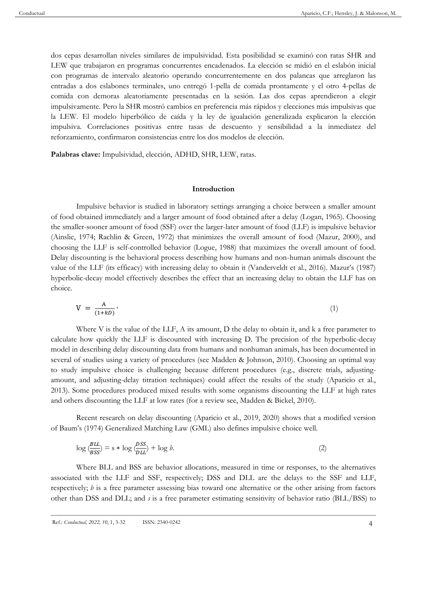dos cepas desarrollan niveles similares de impulsividad. Esta posibilidad se examinó con ratas SHR and LEW que trabajaron en programas concurrentes encadenados. La elección se midió en el eslabón inicial con programas de intervalo aleatorio operando concurrentemente en dos palancas que arreglaron las entradas a dos eslabones terminales, uno entregó 1-pella de comida prontamente y el otro 4-pellas de comida con demoras aleatoriamente presentadas en la sesión. Las dos cepas aprendieron a elegir impulsivamente. Pero la SHR mostró cambios en preferencia más rápidos y elecciones más impulsivas que la LEW. El modelo hiperbólico de caída y la ley de igualación generalizada explicaron la elección impulsiva. Correlaciones positivas entre tasas de descuento y sensibilidad a la inmediatez del reforzamiento, confirmaron consistencias entre los dos modelos de elección.

**Palabras clave:** Impulsividad, elección, ADHD, SHR, LEW, ratas.

#### **Introduction**

Impulsive behavior is studied in laboratory settings arranging a choice between a smaller amount of food obtained immediately and a larger amount of food obtained after a delay (Logan, 1965). Choosing the smaller-sooner amount of food (SSF) over the larger-later amount of food (LLF) is impulsive behavior (Ainslie, 1974; Rachlin & Green, 1972) that minimizes the overall amount of food (Mazur, 2000), and choosing the LLF is self-controlled behavior (Logue, 1988) that maximizes the overall amount of food. Delay discounting is the behavioral process describing how humans and non-human animals discount the value of the LLF (its efficacy) with increasing delay to obtain it (Vanderveldt et al., 2016). Mazur's (1987) hyperbolic-decay model effectively describes the effect that an increasing delay to obtain the LLF has on choice.

$$
V = \frac{A}{(1+kD)}.\tag{1}
$$

Where V is the value of the LLF, A its amount, D the delay to obtain it, and k a free parameter to calculate how quickly the LLF is discounted with increasing D. The precision of the hyperbolic-decay model in describing delay discounting data from humans and nonhuman animals, has been documented in several of studies using a variety of procedures (see Madden & Johnson, 2010). Choosing an optimal way to study impulsive choice is challenging because different procedures (e.g., discrete trials, adjustingamount, and adjusting-delay titration techniques) could affect the results of the study (Aparicio et al., 2013). Some procedures produced mixed results with some organisms discounting the LLF at high rates and others discounting the LLF at low rates (for a review see, Madden & Bickel, 2010).

Recent research on delay discounting (Aparicio et al., 2019, 2020) shows that a modified version of Baum's (1974) Generalized Matching Law (GML) also defines impulsive choice well.

$$
\log \frac{\beta LL}{BSS} = s * \log \frac{DSS}{DLL} + \log b. \tag{2}
$$

Where BLL and BSS are behavior allocations, measured in time or responses, to the alternatives associated with the LLF and SSF, respectively; DSS and DLL are the delays to the SSF and LLF, respectively; *b* is a free parameter assessing bias toward one alternative or the other arising from factors other than DSS and DLL; and *s* is a free parameter estimating sensitivity of behavior ratio (BLL/BSS) to

Ref.: *Conductual, 2022, 10*, 1, 3-32 ISSN: 2340-0242 4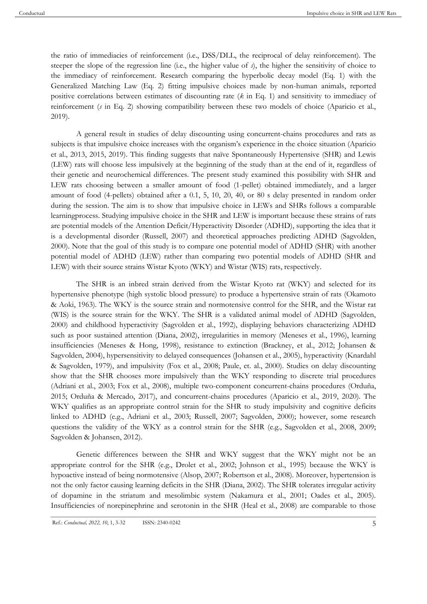the ratio of immediacies of reinforcement (i.e., DSS/DLL, the reciprocal of delay reinforcement). The steeper the slope of the regression line (i.e., the higher value of *s*), the higher the sensitivity of choice to the immediacy of reinforcement. Research comparing the hyperbolic decay model (Eq. 1) with the Generalized Matching Law (Eq. 2) fitting impulsive choices made by non-human animals, reported positive correlations between estimates of discounting rate (*k* in Eq. 1) and sensitivity to immediacy of reinforcement (*s* in Eq. 2) showing compatibility between these two models of choice (Aparicio et al., 2019).

A general result in studies of delay discounting using concurrent-chains procedures and rats as subjects is that impulsive choice increases with the organism's experience in the choice situation (Aparicio et al., 2013, 2015, 2019). This finding suggests that naïve Spontaneously Hypertensive (SHR) and Lewis (LEW) rats will choose less impulsively at the beginning of the study than at the end of it, regardless of their genetic and neurochemical differences. The present study examined this possibility with SHR and LEW rats choosing between a smaller amount of food (1-pellet) obtained immediately, and a larger amount of food (4-pellets) obtained after a 0.1, 5, 10, 20, 40, or 80 s delay presented in random order during the session. The aim is to show that impulsive choice in LEWs and SHRs follows a comparable learningprocess. Studying impulsive choice in the SHR and LEW is important because these strains of rats are potential models of the Attention Deficit/Hyperactivity Disorder (ADHD), supporting the idea that it is a developmental disorder (Russell, 2007) and theoretical approaches predicting ADHD (Sagvolden, 2000). Note that the goal of this study is to compare one potential model of ADHD (SHR) with another potential model of ADHD (LEW) rather than comparing two potential models of ADHD (SHR and LEW) with their source strains Wistar Kyoto (WKY) and Wistar (WIS) rats, respectively.

The SHR is an inbred strain derived from the Wistar Kyoto rat (WKY) and selected for its hypertensive phenotype (high systolic blood pressure) to produce a hypertensive strain of rats (Okamoto & Aoki, 1963). The WKY is the source strain and normotensive control for the SHR, and the Wistar rat (WIS) is the source strain for the WKY. The SHR is a validated animal model of ADHD (Sagvolden, 2000) and childhood hyperactivity (Sagvolden et al., 1992), displaying behaviors characterizing ADHD such as poor sustained attention (Diana, 2002), irregularities in memory (Meneses et al., 1996), learning insufficiencies (Meneses & Hong, 1998), resistance to extinction (Brackney, et al., 2012; Johansen & Sagvolden, 2004), hypersensitivity to delayed consequences (Johansen et al., 2005), hyperactivity (Knardahl & Sagvolden, 1979), and impulsivity (Fox et al., 2008; Paule, et. al., 2000). Studies on delay discounting show that the SHR chooses more impulsively than the WKY responding to discrete trial procedures (Adriani et al., 2003; Fox et al., 2008), multiple two-component concurrent-chains procedures (Orduña, 2015; Orduña & Mercado, 2017), and concurrent-chains procedures (Aparicio et al., 2019, 2020). The WKY qualifies as an appropriate control strain for the SHR to study impulsivity and cognitive deficits linked to ADHD (e.g., Adriani et al., 2003; Russell, 2007; Sagvolden, 2000); however, some research questions the validity of the WKY as a control strain for the SHR (e.g., Sagvolden et al., 2008, 2009; Sagvolden & Johansen, 2012).

Genetic differences between the SHR and WKY suggest that the WKY might not be an appropriate control for the SHR (e.g., Drolet et al., 2002; Johnson et al., 1995) because the WKY is hypoactive instead of being normotensive (Alsop, 2007; Robertson et al., 2008). Moreover, hypertension is not the only factor causing learning deficits in the SHR (Diana, 2002). The SHR tolerates irregular activity of dopamine in the striatum and mesolimbic system (Nakamura et al., 2001; Oades et al., 2005). Insufficiencies of norepinephrine and serotonin in the SHR (Heal et al., 2008) are comparable to those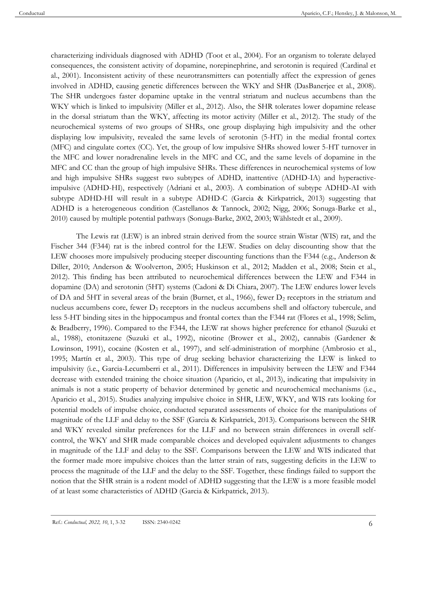characterizing individuals diagnosed with ADHD (Toot et al., 2004). For an organism to tolerate delayed consequences, the consistent activity of dopamine, norepinephrine, and serotonin is required (Cardinal et al., 2001). Inconsistent activity of these neurotransmitters can potentially affect the expression of genes involved in ADHD, causing genetic differences between the WKY and SHR (DasBanerjee et al., 2008). The SHR undergoes faster dopamine uptake in the ventral striatum and nucleus accumbens than the WKY which is linked to impulsivity (Miller et al., 2012). Also, the SHR tolerates lower dopamine release in the dorsal striatum than the WKY, affecting its motor activity (Miller et al., 2012). The study of the neurochemical systems of two groups of SHRs, one group displaying high impulsivity and the other displaying low impulsivity, revealed the same levels of serotonin (5-HT) in the medial frontal cortex (MFC) and cingulate cortex (CC). Yet, the group of low impulsive SHRs showed lower 5-HT turnover in the MFC and lower noradrenaline levels in the MFC and CC, and the same levels of dopamine in the MFC and CC than the group of high impulsive SHRs. These differences in neurochemical systems of low and high impulsive SHRs suggest two subtypes of ADHD, inattentive (ADHD-IA) and hyperactiveimpulsive (ADHD-HI), respectively (Adriani et al., 2003). A combination of subtype ADHD-AI with subtype ADHD-HI will result in a subtype ADHD-C (Garcia & Kirkpatrick, 2013) suggesting that ADHD is a heterogeneous condition (Castellanos & Tannock, 2002; Nigg, 2006; Sonuga-Barke et al., 2010) caused by multiple potential pathways (Sonuga-Barke, 2002, 2003; Wählstedt et al., 2009).

The Lewis rat (LEW) is an inbred strain derived from the source strain Wistar (WIS) rat, and the Fischer 344 (F344) rat is the inbred control for the LEW. Studies on delay discounting show that the LEW chooses more impulsively producing steeper discounting functions than the F344 (e.g., Anderson & Diller, 2010; Anderson & Woolverton, 2005; Huskinson et al., 2012; Madden et al., 2008; Stein et al., 2012). This finding has been attributed to neurochemical differences between the LEW and F344 in dopamine (DA) and serotonin (5HT) systems (Cadoni & Di Chiara, 2007). The LEW endures lower levels of DA and 5HT in several areas of the brain (Burnet, et al., 1966), fewer  $D_2$  receptors in the striatum and nucleus accumbens core, fewer  $D_3$  receptors in the nucleus accumbens shell and olfactory tubercule, and less 5-HT binding sites in the hippocampus and frontal cortex than the F344 rat (Flores et al., 1998; Selim, & Bradberry, 1996). Compared to the F344, the LEW rat shows higher preference for ethanol (Suzuki et al., 1988), etonitazene (Suzuki et al., 1992), nicotine (Brower et al., 2002), cannabis (Gardener & Lowinson, 1991), cocaine (Kosten et al., 1997), and self-administration of morphine (Ambrosio et al., 1995; Martín et al., 2003). This type of drug seeking behavior characterizing the LEW is linked to impulsivity (i.e., Garcia-Lecumberri et al., 2011). Differences in impulsivity between the LEW and F344 decrease with extended training the choice situation (Aparicio, et al., 2013), indicating that impulsivity in animals is not a static property of behavior determined by genetic and neurochemical mechanisms (i.e., Aparicio et al., 2015). Studies analyzing impulsive choice in SHR, LEW, WKY, and WIS rats looking for potential models of impulse choice, conducted separated assessments of choice for the manipulations of magnitude of the LLF and delay to the SSF (Garcia & Kirkpatrick, 2013). Comparisons between the SHR and WKY revealed similar preferences for the LLF and no between strain differences in overall selfcontrol, the WKY and SHR made comparable choices and developed equivalent adjustments to changes in magnitude of the LLF and delay to the SSF. Comparisons between the LEW and WIS indicated that the former made more impulsive choices than the latter strain of rats, suggesting deficits in the LEW to process the magnitude of the LLF and the delay to the SSF. Together, these findings failed to support the notion that the SHR strain is a rodent model of ADHD suggesting that the LEW is a more feasible model of at least some characteristics of ADHD (Garcia & Kirkpatrick, 2013).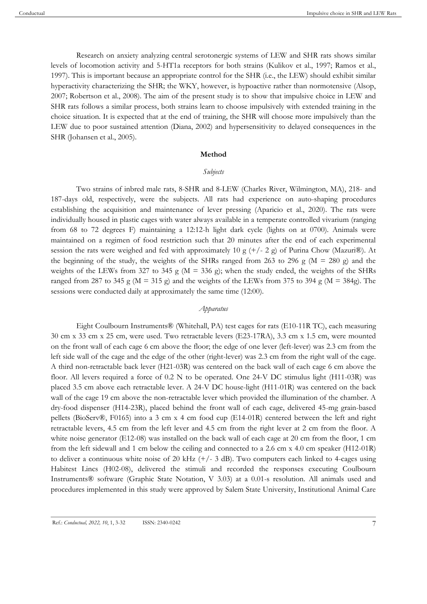Research on anxiety analyzing central serotonergic systems of LEW and SHR rats shows similar levels of locomotion activity and 5-HT1a receptors for both strains (Kulikov et al., 1997; Ramos et al., 1997). This is important because an appropriate control for the SHR (i.e., the LEW) should exhibit similar hyperactivity characterizing the SHR; the WKY, however, is hypoactive rather than normotensive (Alsop, 2007; Robertson et al., 2008). The aim of the present study is to show that impulsive choice in LEW and SHR rats follows a similar process, both strains learn to choose impulsively with extended training in the choice situation. It is expected that at the end of training, the SHR will choose more impulsively than the LEW due to poor sustained attention (Diana, 2002) and hypersensitivity to delayed consequences in the SHR (Johansen et al., 2005).

#### **Method**

#### *Subjects*

Two strains of inbred male rats, 8-SHR and 8-LEW (Charles River, Wilmington, MA), 218- and 187-days old, respectively, were the subjects. All rats had experience on auto-shaping procedures establishing the acquisition and maintenance of lever pressing (Aparicio et al., 2020). The rats were individually housed in plastic cages with water always available in a temperate controlled vivarium (ranging from 68 to 72 degrees F) maintaining a 12:12-h light dark cycle (lights on at 0700). Animals were maintained on a regimen of food restriction such that 20 minutes after the end of each experimental session the rats were weighed and fed with approximately 10 g  $(+/- 2)$  of Purina Chow (Mazuri®). At the beginning of the study, the weights of the SHRs ranged from 263 to 296 g ( $M = 280$  g) and the weights of the LEWs from 327 to 345 g ( $M = 336$  g); when the study ended, the weights of the SHRs ranged from 287 to 345 g ( $M = 315$  g) and the weights of the LEWs from 375 to 394 g ( $M = 384g$ ). The sessions were conducted daily at approximately the same time (12:00).

## *Apparatus*

Eight Coulbourn Instruments® (Whitehall, PA) test cages for rats (E10-11R TC), each measuring 30 cm x 33 cm x 25 cm, were used. Two retractable levers (E23-17RA), 3.3 cm x 1.5 cm, were mounted on the front wall of each cage 6 cm above the floor; the edge of one lever (left-lever) was 2.3 cm from the left side wall of the cage and the edge of the other (right-lever) was 2.3 cm from the right wall of the cage. A third non-retractable back lever (H21-03R) was centered on the back wall of each cage 6 cm above the floor. All levers required a force of 0.2 N to be operated. One 24-V DC stimulus light (H11-03R) was placed 3.5 cm above each retractable lever. A 24-V DC house-light (H11-01R) was centered on the back wall of the cage 19 cm above the non-retractable lever which provided the illumination of the chamber. A dry-food dispenser (H14-23R), placed behind the front wall of each cage, delivered 45-mg grain-based pellets (BioServ®, F0165) into a 3 cm x 4 cm food cup (E14-01R) centered between the left and right retractable levers, 4.5 cm from the left lever and 4.5 cm from the right lever at 2 cm from the floor. A white noise generator (E12-08) was installed on the back wall of each cage at 20 cm from the floor, 1 cm from the left sidewall and 1 cm below the ceiling and connected to a 2.6 cm x 4.0 cm speaker (H12-01R) to deliver a continuous white noise of 20 kHz  $(+/- 3$  dB). Two computers each linked to 4-cages using Habitest Lincs (H02-08), delivered the stimuli and recorded the responses executing Coulbourn Instruments® software (Graphic State Notation, V 3.03) at a 0.01-s resolution. All animals used and procedures implemented in this study were approved by Salem State University, Institutional Animal Care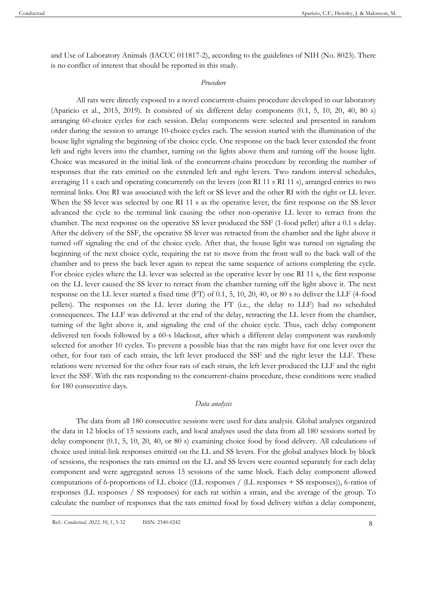and Use of Laboratory Animals (IACUC 011817-2), according to the guidelines of NIH (No. 8023). There is no conflict of interest that should be reported in this study.

## *Procedure*

All rats were directly exposed to a novel concurrent-chains procedure developed in our laboratory (Aparicio et al., 2015, 2019). It consisted of six different delay components (0.1, 5, 10, 20, 40, 80 s) arranging 60-choice cycles for each session. Delay components were selected and presented in random order during the session to arrange 10-choice cycles each. The session started with the illumination of the house light signaling the beginning of the choice cycle. One response on the back lever extended the front left and right levers into the chamber, turning on the lights above them and turning off the house light. Choice was measured in the initial link of the concurrent-chains procedure by recording the number of responses that the rats emitted on the extended left and right levers. Two random interval schedules, averaging 11 s each and operating concurrently on the levers (con RI 11 s RI 11 s), arranged entries to two terminal links. One RI was associated with the left or SS lever and the other RI with the right or LL lever. When the SS lever was selected by one RI 11 s as the operative lever, the first response on the SS lever advanced the cycle to the terminal link causing the other non-operative LL lever to retract from the chamber. The next response on the operative SS lever produced the SSF (1-food pellet) after a 0.1 s delay. After the delivery of the SSF, the operative SS lever was retracted from the chamber and the light above it turned off signaling the end of the choice cycle. After that, the house light was turned on signaling the beginning of the next choice cycle, requiring the rat to move from the front wall to the back wall of the chamber and to press the back lever again to repeat the same sequence of actions completing the cycle. For choice cycles where the LL lever was selected as the operative lever by one RI 11 s, the first response on the LL lever caused the SS lever to retract from the chamber turning off the light above it. The next response on the LL lever started a fixed time (FT) of 0.1, 5, 10, 20, 40, or 80 s to deliver the LLF (4-food pellets). The responses on the LL lever during the FT (i.e., the delay to LLF) had no scheduled consequences. The LLF was delivered at the end of the delay, retracting the LL lever from the chamber, turning of the light above it, and signaling the end of the choice cycle. Thus, each delay component delivered ten foods followed by a 60-s blackout, after which a different delay component was randomly selected for another 10 cycles. To prevent a possible bias that the rats might have for one lever over the other, for four rats of each strain, the left lever produced the SSF and the right lever the LLF. These relations were reversed for the other four rats of each strain, the left lever produced the LLF and the right lever the SSF. With the rats responding to the concurrent-chains procedure, these conditions were studied for 180 consecutive days.

## *Data analysis*

The data from all 180 consecutive sessions were used for data analysis. Global analyses organized the data in 12 blocks of 15 sessions each, and local analyses used the data from all 180 sessions sorted by delay component (0.1, 5, 10, 20, 40, or 80 s) examining choice food by food delivery. All calculations of choice used initial-link responses emitted on the LL and SS levers. For the global analyses block by block of sessions, the responses the rats emitted on the LL and SS levers were counted separately for each delay component and were aggregated across 15 sessions of the same block. Each delay component allowed computations of 6-proportions of LL choice ((LL responses / (LL responses + SS responses)), 6-ratios of responses (LL responses / SS responses) for each rat within a strain, and the average of the group. To calculate the number of responses that the rats emitted food by food delivery within a delay component,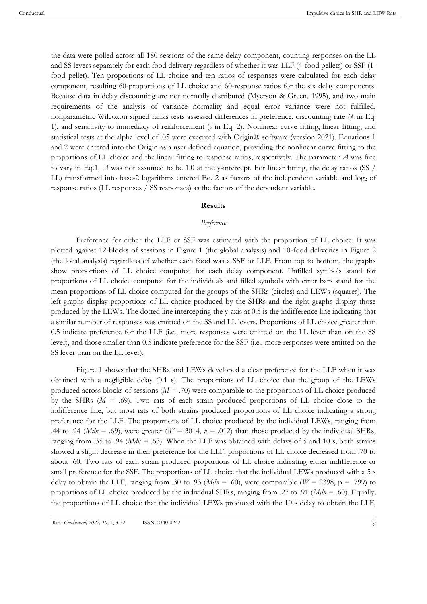the data were polled across all 180 sessions of the same delay component, counting responses on the LL and SS levers separately for each food delivery regardless of whether it was LLF (4-food pellets) or SSF (1 food pellet). Ten proportions of LL choice and ten ratios of responses were calculated for each delay component, resulting 60-proportions of LL choice and 60-response ratios for the six delay components. Because data in delay discounting are not normally distributed (Myerson & Green, 1995), and two main requirements of the analysis of variance normality and equal error variance were not fulfilled, nonparametric Wilcoxon signed ranks tests assessed differences in preference, discounting rate (*k* in Eq. 1), and sensitivity to immediacy of reinforcement (*s* in Eq. 2). Nonlinear curve fitting, linear fitting, and statistical tests at the alpha level of .05 were executed with Origin® software (version 2021). Equations 1 and 2 were entered into the Origin as a user defined equation, providing the nonlinear curve fitting to the proportions of LL choice and the linear fitting to response ratios, respectively. The parameter *A* was free to vary in Eq.1, *A* was not assumed to be 1.0 at the y-intercept. For linear fitting, the delay ratios (SS / LL) transformed into base-2 logarithms entered Eq. 2 as factors of the independent variable and log<sub>2</sub> of response ratios (LL responses / SS responses) as the factors of the dependent variable.

#### **Results**

#### *Preference*

Preference for either the LLF or SSF was estimated with the proportion of LL choice. It was plotted against 12-blocks of sessions in Figure 1 (the global analysis) and 10-food deliveries in Figure 2 (the local analysis) regardless of whether each food was a SSF or LLF. From top to bottom, the graphs show proportions of LL choice computed for each delay component. Unfilled symbols stand for proportions of LL choice computed for the individuals and filled symbols with error bars stand for the mean proportions of LL choice computed for the groups of the SHRs (circles) and LEWs (squares). The left graphs display proportions of LL choice produced by the SHRs and the right graphs display those produced by the LEWs. The dotted line intercepting the y-axis at 0.5 is the indifference line indicating that a similar number of responses was emitted on the SS and LL levers. Proportions of LL choice greater than 0.5 indicate preference for the LLF (i.e., more responses were emitted on the LL lever than on the SS lever), and those smaller than 0.5 indicate preference for the SSF (i.e., more responses were emitted on the SS lever than on the LL lever).

Figure 1 shows that the SHRs and LEWs developed a clear preference for the LLF when it was obtained with a negligible delay (0.1 s). The proportions of LL choice that the group of the LEWs produced across blocks of sessions  $(M = .70)$  were comparable to the proportions of LL choice produced by the SHRs (*M* = .69). Two rats of each strain produced proportions of LL choice close to the indifference line, but most rats of both strains produced proportions of LL choice indicating a strong preference for the LLF. The proportions of LL choice produced by the individual LEWs, ranging from .44 to .94 (*Mdn* = .69), were greater ( $W = 3014$ ,  $p = .012$ ) than those produced by the individual SHRs, ranging from .35 to .94 (*Mdn* = .63). When the LLF was obtained with delays of 5 and 10 s, both strains showed a slight decrease in their preference for the LLF; proportions of LL choice decreased from .70 to about .60. Two rats of each strain produced proportions of LL choice indicating either indifference or small preference for the SSF. The proportions of LL choice that the individual LEWs produced with a 5 s delay to obtain the LLF, ranging from .30 to .93 ( $Mdn = .60$ ), were comparable ( $W = 2398$ , p = .799) to proportions of LL choice produced by the individual SHRs, ranging from .27 to .91 (*Mdn* = .60). Equally, the proportions of LL choice that the individual LEWs produced with the 10 s delay to obtain the LLF,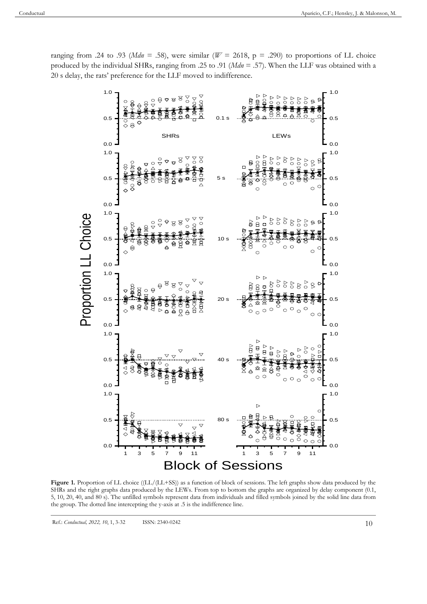

ranging from .24 to .93 ( $Mdn = .58$ ), were similar ( $W = 2618$ ,  $p = .290$ ) to proportions of LL choice produced by the individual SHRs, ranging from .25 to .91 (*Mdn* = .57). When the LLF was obtained with a 20 s delay, the rats' preference for the LLF moved to indifference.

Figure 1. Proportion of LL choice ((LL/(LL+SS)) as a function of block of sessions. The left graphs show data produced by the SHRs and the right graphs data produced by the LEWs. From top to bottom the graphs are organized by delay component (0.1, 5, 10, 20, 40, and 80 s). The unfilled symbols represent data from individuals and filled symbols joined by the solid line data from the group. The dotted line intercepting the y-axis at .5 is the indifference line.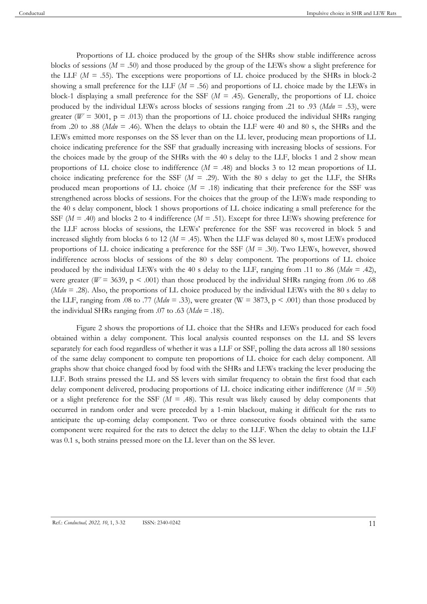Proportions of LL choice produced by the group of the SHRs show stable indifference across blocks of sessions (*M* = .50) and those produced by the group of the LEWs show a slight preference for the LLF  $(M = .55)$ . The exceptions were proportions of LL choice produced by the SHRs in block-2 showing a small preference for the LLF (*M* = .56) and proportions of LL choice made by the LEWs in block-1 displaying a small preference for the SSF (*M* = .45). Generally, the proportions of LL choice produced by the individual LEWs across blocks of sessions ranging from .21 to .93 (*Mdn* = .53), were greater ( $W = 3001$ ,  $p = .013$ ) than the proportions of LL choice produced the individual SHRs ranging from .20 to .88 (*Mdn* = .46). When the delays to obtain the LLF were 40 and 80 s, the SHRs and the LEWs emitted more responses on the SS lever than on the LL lever, producing mean proportions of LL choice indicating preference for the SSF that gradually increasing with increasing blocks of sessions. For the choices made by the group of the SHRs with the 40 s delay to the LLF, blocks 1 and 2 show mean proportions of LL choice close to indifference (*M* = .48) and blocks 3 to 12 mean proportions of LL choice indicating preference for the SSF  $(M = .29)$ . With the 80 s delay to get the LLF, the SHRs produced mean proportions of LL choice  $(M = .18)$  indicating that their preference for the SSF was strengthened across blocks of sessions. For the choices that the group of the LEWs made responding to the 40 s delay component, block 1 shows proportions of LL choice indicating a small preference for the SSF ( $M = .40$ ) and blocks 2 to 4 indifference ( $M = .51$ ). Except for three LEWs showing preference for the LLF across blocks of sessions, the LEWs' preference for the SSF was recovered in block 5 and increased slightly from blocks 6 to 12 (*M* = .45). When the LLF was delayed 80 s, most LEWs produced proportions of LL choice indicating a preference for the SSF (*M* = .30). Two LEWs, however, showed indifference across blocks of sessions of the 80 s delay component. The proportions of LL choice produced by the individual LEWs with the 40 s delay to the LLF, ranging from .11 to .86 (*Mdn* = .42), were greater ( $W = 3639$ ,  $p < .001$ ) than those produced by the individual SHRs ranging from .06 to .68 (*Mdn* = .28). Also, the proportions of LL choice produced by the individual LEWs with the 80 s delay to the LLF, ranging from .08 to .77 ( $Mdn = .33$ ), were greater (W = 3873, p < .001) than those produced by the individual SHRs ranging from .07 to .63 ( $Mdn = .18$ ).

Figure 2 shows the proportions of LL choice that the SHRs and LEWs produced for each food obtained within a delay component. This local analysis counted responses on the LL and SS levers separately for each food regardless of whether it was a LLF or SSF, polling the data across all 180 sessions of the same delay component to compute ten proportions of LL choice for each delay component. All graphs show that choice changed food by food with the SHRs and LEWs tracking the lever producing the LLF. Both strains pressed the LL and SS levers with similar frequency to obtain the first food that each delay component delivered, producing proportions of LL choice indicating either indifference (*M* = .50) or a slight preference for the SSF  $(M = .48)$ . This result was likely caused by delay components that occurred in random order and were preceded by a 1-min blackout, making it difficult for the rats to anticipate the up-coming delay component. Two or three consecutive foods obtained with the same component were required for the rats to detect the delay to the LLF. When the delay to obtain the LLF was 0.1 s, both strains pressed more on the LL lever than on the SS lever.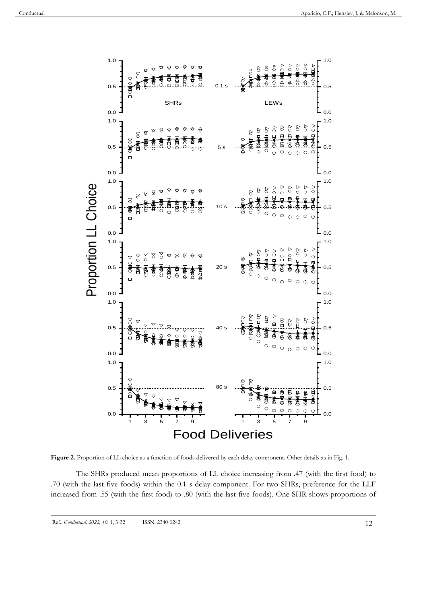

Figure 2. Proportion of LL choice as a function of foods delivered by each delay component. Other details as in Fig. 1.

The SHRs produced mean proportions of LL choice increasing from .47 (with the first food) to .70 (with the last five foods) within the 0.1 s delay component. For two SHRs, preference for the LLF increased from .55 (with the first food) to .80 (with the last five foods). One SHR shows proportions of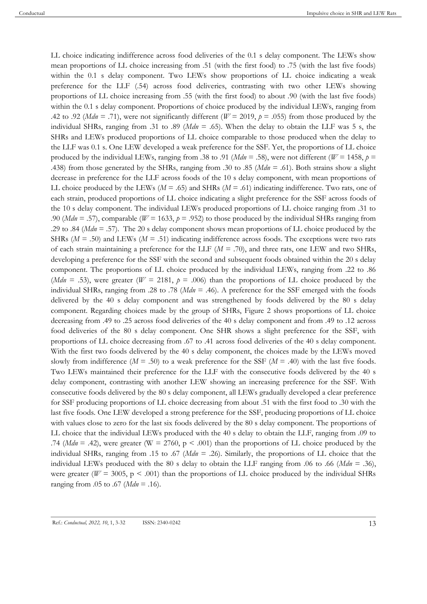LL choice indicating indifference across food deliveries of the 0.1 s delay component. The LEWs show mean proportions of LL choice increasing from .51 (with the first food) to .75 (with the last five foods) within the 0.1 s delay component. Two LEWs show proportions of LL choice indicating a weak preference for the LLF (.54) across food deliveries, contrasting with two other LEWs showing proportions of LL choice increasing from .55 (with the first food) to about .90 (with the last five foods) within the 0.1 s delay component. Proportions of choice produced by the individual LEWs, ranging from .42 to .92 (*Mdn* = .71), were not significantly different ( $W = 2019$ ,  $p = .055$ ) from those produced by the individual SHRs, ranging from .31 to .89 (*Mdn* = .65). When the delay to obtain the LLF was 5 s, the SHRs and LEWs produced proportions of LL choice comparable to those produced when the delay to the LLF was 0.1 s. One LEW developed a weak preference for the SSF. Yet, the proportions of LL choice produced by the individual LEWs, ranging from .38 to .91 ( $Mdn = .58$ ), were not different ( $W = 1458$ ,  $p =$ .438) from those generated by the SHRs, ranging from .30 to .85 (*Mdn* = .61). Both strains show a slight decrease in preference for the LLF across foods of the 10 s delay component, with mean proportions of LL choice produced by the LEWs ( $M = .65$ ) and SHRs ( $M = .61$ ) indicating indifference. Two rats, one of each strain, produced proportions of LL choice indicating a slight preference for the SSF across foods of the 10 s delay component. The individual LEWs produced proportions of LL choice ranging from .31 to .90 (*Mdn* = .57), comparable (*W* = 1633,  $p = .952$ ) to those produced by the individual SHRs ranging from .29 to .84 (*Mdn* = .57). The 20 s delay component shows mean proportions of LL choice produced by the SHRs ( $M = .50$ ) and LEWs ( $M = .51$ ) indicating indifference across foods. The exceptions were two rats of each strain maintaining a preference for the LLF (*M* = .70), and three rats, one LEW and two SHRs, developing a preference for the SSF with the second and subsequent foods obtained within the 20 s delay component. The proportions of LL choice produced by the individual LEWs, ranging from .22 to .86 (*Mdn* = .53), were greater ( $W = 2181$ ,  $p = .006$ ) than the proportions of LL choice produced by the individual SHRs, ranging from .28 to .78 (*Mdn* = .46). A preference for the SSF emerged with the foods delivered by the 40 s delay component and was strengthened by foods delivered by the 80 s delay component. Regarding choices made by the group of SHRs, Figure 2 shows proportions of LL choice decreasing from .49 to .25 across food deliveries of the 40 s delay component and from .49 to .12 across food deliveries of the 80 s delay component. One SHR shows a slight preference for the SSF, with proportions of LL choice decreasing from .67 to .41 across food deliveries of the 40 s delay component. With the first two foods delivered by the 40 s delay component, the choices made by the LEWs moved slowly from indifference ( $M = .50$ ) to a weak preference for the SSF ( $M = .40$ ) with the last five foods. Two LEWs maintained their preference for the LLF with the consecutive foods delivered by the 40 s delay component, contrasting with another LEW showing an increasing preference for the SSF. With consecutive foods delivered by the 80 s delay component, all LEWs gradually developed a clear preference for SSF producing proportions of LL choice decreasing from about .51 with the first food to .30 with the last five foods. One LEW developed a strong preference for the SSF, producing proportions of LL choice with values close to zero for the last six foods delivered by the 80 s delay component. The proportions of LL choice that the individual LEWs produced with the 40 s delay to obtain the LLF, ranging from .09 to .74 (*Mdn* = .42), were greater (W = 2760,  $p < .001$ ) than the proportions of LL choice produced by the individual SHRs, ranging from .15 to .67 (*Mdn* = .26). Similarly, the proportions of LL choice that the individual LEWs produced with the 80 s delay to obtain the LLF ranging from .06 to .66 (*Mdn* = .36), were greater ( $W = 3005$ ,  $p < .001$ ) than the proportions of LL choice produced by the individual SHRs ranging from .05 to .67 (*Mdn* = .16).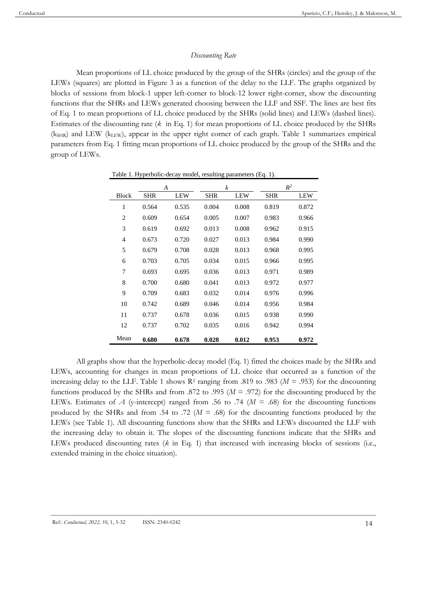## *Discounting Rate*

Mean proportions of LL choice produced by the group of the SHRs (circles) and the group of the LEWs (squares) are plotted in Figure 3 as a function of the delay to the LLF. The graphs organized by blocks of sessions from block-1 upper left-corner to block-12 lower right-corner, show the discounting functions that the SHRs and LEWs generated choosing between the LLF and SSF. The lines are best fits of Eq. 1 to mean proportions of LL choice produced by the SHRs (solid lines) and LEWs (dashed lines). Estimates of the discounting rate (*k* in Eq. 1) for mean proportions of LL choice produced by the SHRs  $(k<sub>SHR</sub>)$  and LEW ( $k<sub>LEN</sub>$ ), appear in the upper right corner of each graph. Table 1 summarizes empirical parameters from Eq. 1 fitting mean proportions of LL choice produced by the group of the SHRs and the group of LEWs.

|                | $\boldsymbol{A}$ |            | $\boldsymbol{k}$ |            | $R^2$      |            |
|----------------|------------------|------------|------------------|------------|------------|------------|
| <b>Block</b>   | SHR              | <b>LEW</b> | <b>SHR</b>       | <b>LEW</b> | <b>SHR</b> | <b>LEW</b> |
| $\mathbf{1}$   | 0.564            | 0.535      | 0.004            | 0.008      | 0.819      | 0.872      |
| $\overline{c}$ | 0.609            | 0.654      | 0.005            | 0.007      | 0.983      | 0.966      |
| 3              | 0.619            | 0.692      | 0.013            | 0.008      | 0.962      | 0.915      |
| $\overline{4}$ | 0.673            | 0.720      | 0.027            | 0.013      | 0.984      | 0.990      |
| 5              | 0.679            | 0.708      | 0.028            | 0.013      | 0.968      | 0.995      |
| 6              | 0.703            | 0.705      | 0.034            | 0.015      | 0.966      | 0.995      |
| 7              | 0.693            | 0.695      | 0.036            | 0.013      | 0.971      | 0.989      |
| 8              | 0.700            | 0.680      | 0.041            | 0.013      | 0.972      | 0.977      |
| 9              | 0.709            | 0.683      | 0.032            | 0.014      | 0.976      | 0.996      |
| 10             | 0.742            | 0.689      | 0.046            | 0.014      | 0.956      | 0.984      |
| 11             | 0.737            | 0.678      | 0.036            | 0.015      | 0.938      | 0.990      |
| 12             | 0.737            | 0.702      | 0.035            | 0.016      | 0.942      | 0.994      |
| Mean           | 0.680            | 0.678      | 0.028            | 0.012      | 0.953      | 0.972      |

Table 1. Hyperbolic-decay model, resulting parameters (Eq. 1).

All graphs show that the hyperbolic-decay model (Eq. 1) fitted the choices made by the SHRs and LEWs, accounting for changes in mean proportions of LL choice that occurred as a function of the increasing delay to the LLF. Table 1 shows  $R^2$  ranging from .819 to .983 ( $M = .953$ ) for the discounting functions produced by the SHRs and from .872 to .995 ( $M = .972$ ) for the discounting produced by the LEWs. Estimates of *A* (y-intercept) ranged from .56 to .74 ( $M = .68$ ) for the discounting functions produced by the SHRs and from .54 to .72 ( $M = .68$ ) for the discounting functions produced by the LEWs (see Table 1). All discounting functions show that the SHRs and LEWs discounted the LLF with the increasing delay to obtain it. The slopes of the discounting functions indicate that the SHRs and LEWs produced discounting rates (*k* in Eq. 1) that increased with increasing blocks of sessions (i.e., extended training in the choice situation).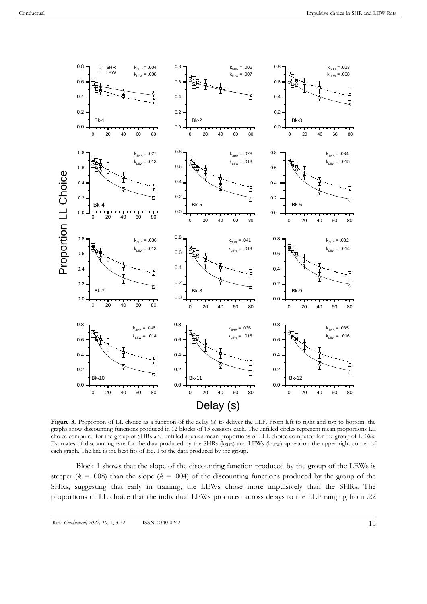

Figure 3. Proportion of LL choice as a function of the delay (s) to deliver the LLF. From left to right and top to bottom, the graphs show discounting functions produced in 12 blocks of 15 sessions each. The unfilled circles represent mean proportions LL choice computed for the group of SHRs and unfilled squares mean proportions of LLL choice computed for the group of LEWs. Estimates of discounting rate for the data produced by the SHRs (kSHR) and LEWs (kLEW) appear on the upper right corner of each graph. The line is the best fits of Eq. 1 to the data produced by the group.

Block 1 shows that the slope of the discounting function produced by the group of the LEWs is steeper ( $k = .008$ ) than the slope ( $k = .004$ ) of the discounting functions produced by the group of the SHRs, suggesting that early in training, the LEWs chose more impulsively than the SHRs. The proportions of LL choice that the individual LEWs produced across delays to the LLF ranging from .22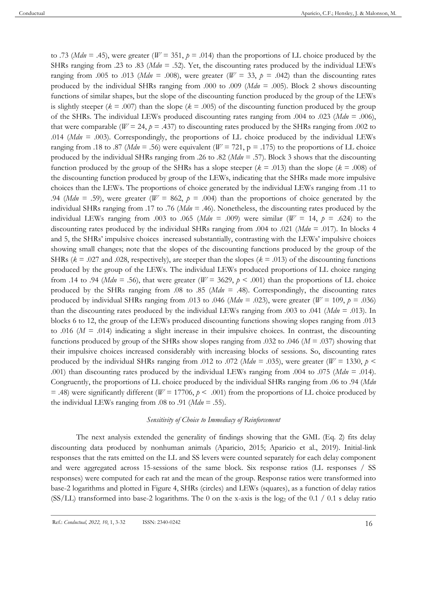to .73 (*Mdn* = .45), were greater ( $W = 351$ ,  $p = .014$ ) than the proportions of LL choice produced by the SHRs ranging from .23 to .83 (*Mdn* = .52). Yet, the discounting rates produced by the individual LEWs ranging from .005 to .013 (*Mdn* = .008), were greater ( $W = 33$ ,  $p = .042$ ) than the discounting rates produced by the individual SHRs ranging from .000 to .009 (*Mdn* = .005). Block 2 shows discounting functions of similar shapes, but the slope of the discounting function produced by the group of the LEWs is slightly steeper ( $k = .007$ ) than the slope ( $k = .005$ ) of the discounting function produced by the group of the SHRs. The individual LEWs produced discounting rates ranging from .004 to .023 (*Mdn* = .006), that were comparable ( $W = 24$ ,  $p = .437$ ) to discounting rates produced by the SHRs ranging from .002 to .014 (*Mdn* = .003). Correspondingly, the proportions of LL choice produced by the individual LEWs ranging from .18 to .87 (*Mdn* = .56) were equivalent ( $W = 721$ , p = .175) to the proportions of LL choice produced by the individual SHRs ranging from .26 to .82 (*Mdn* = .57). Block 3 shows that the discounting function produced by the group of the SHRs has a slope steeper  $(k = .013)$  than the slope  $(k = .008)$  of the discounting function produced by group of the LEWs, indicating that the SHRs made more impulsive choices than the LEWs. The proportions of choice generated by the individual LEWs ranging from .11 to .94 (*Mdn* = .59), were greater ( $W = 862$ ,  $p = .004$ ) than the proportions of choice generated by the individual SHRs ranging from .17 to .76 (*Mdn* = .46). Nonetheless, the discounting rates produced by the individual LEWs ranging from .003 to .065 (*Mdn* = .009) were similar ( $W = 14$ ,  $p = .624$ ) to the discounting rates produced by the individual SHRs ranging from .004 to .021 (*Mdn* = .017). In blocks 4 and 5, the SHRs' impulsive choices increased substantially, contrasting with the LEWs' impulsive choices showing small changes; note that the slopes of the discounting functions produced by the group of the SHRs ( $k = .027$  and .028, respectively), are steeper than the slopes ( $k = .013$ ) of the discounting functions produced by the group of the LEWs. The individual LEWs produced proportions of LL choice ranging from .14 to .94 (*Mdn* = .56), that were greater ( $W = 3629$ ,  $p < .001$ ) than the proportions of LL choice produced by the SHRs ranging from .08 to .85 (*Mdn* = .48). Correspondingly, the discounting rates produced by individual SHRs ranging from .013 to .046 (*Mdn* = .023), were greater ( $W = 109$ ,  $p = .036$ ) than the discounting rates produced by the individual LEWs ranging from .003 to .041 (*Mdn* = .013). In blocks 6 to 12, the group of the LEWs produced discounting functions showing slopes ranging from .013 to .016 ( $M = .014$ ) indicating a slight increase in their impulsive choices. In contrast, the discounting functions produced by group of the SHRs show slopes ranging from .032 to .046 (*M* = .037) showing that their impulsive choices increased considerably with increasing blocks of sessions. So, discounting rates produced by the individual SHRs ranging from .012 to .072 (*Mdn* = .035), were greater ( $W = 1330$ ,  $p \le$ .001) than discounting rates produced by the individual LEWs ranging from .004 to .075 (*Mdn* = .014). Congruently, the proportions of LL choice produced by the individual SHRs ranging from .06 to .94 (*Mdn*  $=$  .48) were significantly different (*W* = 17706,  $p \le 0.001$ ) from the proportions of LL choice produced by the individual LEWs ranging from .08 to .91 (*Mdn* = .55).

#### *Sensitivity of Choice to Immediacy of Reinforcement*

The next analysis extended the generality of findings showing that the GML (Eq. 2) fits delay discounting data produced by nonhuman animals (Aparicio, 2015; Aparicio et al., 2019). Initial-link responses that the rats emitted on the LL and SS levers were counted separately for each delay component and were aggregated across 15-sessions of the same block. Six response ratios (LL responses / SS responses) were computed for each rat and the mean of the group. Response ratios were transformed into base-2 logarithms and plotted in Figure 4, SHRs (circles) and LEWs (squares), as a function of delay ratios (SS/LL) transformed into base-2 logarithms. The 0 on the x-axis is the log<sub>2</sub> of the 0.1 / 0.1 s delay ratio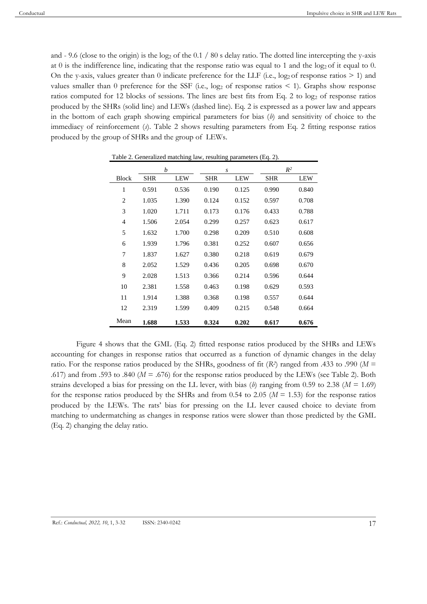and - 9.6 (close to the origin) is the log<sub>2</sub> of the  $0.1 / 80$  s delay ratio. The dotted line intercepting the y-axis at 0 is the indifference line, indicating that the response ratio was equal to 1 and the  $log_2$  of it equal to 0. On the y-axis, values greater than 0 indicate preference for the LLF (i.e.,  $log_2$  of response ratios  $> 1$ ) and values smaller than 0 preference for the SSF (i.e.,  $\log_2$  of response ratios  $\leq$  1). Graphs show response ratios computed for 12 blocks of sessions. The lines are best fits from Eq. 2 to  $log_2$  of response ratios produced by the SHRs (solid line) and LEWs (dashed line). Eq. 2 is expressed as a power law and appears in the bottom of each graph showing empirical parameters for bias (*b*) and sensitivity of choice to the immediacy of reinforcement (*s*). Table 2 shows resulting parameters from Eq. 2 fitting response ratios produced by the group of SHRs and the group of LEWs.

|                | $\boldsymbol{b}$ |            | S          |            | $R^2$      |            |
|----------------|------------------|------------|------------|------------|------------|------------|
| <b>Block</b>   | <b>SHR</b>       | <b>LEW</b> | <b>SHR</b> | <b>LEW</b> | <b>SHR</b> | <b>LEW</b> |
| 1              | 0.591            | 0.536      | 0.190      | 0.125      | 0.990      | 0.840      |
| $\overline{2}$ | 1.035            | 1.390      | 0.124      | 0.152      | 0.597      | 0.708      |
| 3              | 1.020            | 1.711      | 0.173      | 0.176      | 0.433      | 0.788      |
| $\overline{4}$ | 1.506            | 2.054      | 0.299      | 0.257      | 0.623      | 0.617      |
| 5              | 1.632            | 1.700      | 0.298      | 0.209      | 0.510      | 0.608      |
| 6              | 1.939            | 1.796      | 0.381      | 0.252      | 0.607      | 0.656      |
| 7              | 1.837            | 1.627      | 0.380      | 0.218      | 0.619      | 0.679      |
| 8              | 2.052            | 1.529      | 0.436      | 0.205      | 0.698      | 0.670      |
| 9              | 2.028            | 1.513      | 0.366      | 0.214      | 0.596      | 0.644      |
| 10             | 2.381            | 1.558      | 0.463      | 0.198      | 0.629      | 0.593      |
| 11             | 1.914            | 1.388      | 0.368      | 0.198      | 0.557      | 0.644      |
| 12             | 2.319            | 1.599      | 0.409      | 0.215      | 0.548      | 0.664      |
| Mean           | 1.688            | 1.533      | 0.324      | 0.202      | 0.617      | 0.676      |

Table 2. Generalized matching law, resulting parameters (Eq. 2).

Figure 4 shows that the GML (Eq. 2) fitted response ratios produced by the SHRs and LEWs accounting for changes in response ratios that occurred as a function of dynamic changes in the delay ratio. For the response ratios produced by the SHRs, goodness of fit  $(R<sup>2</sup>)$  ranged from .433 to .990 ( $M =$ .617) and from .593 to .840 ( $M = .676$ ) for the response ratios produced by the LEWs (see Table 2). Both strains developed a bias for pressing on the LL lever, with bias (*b*) ranging from 0.59 to 2.38 (*M* = 1.69) for the response ratios produced by the SHRs and from 0.54 to 2.05 ( $M = 1.53$ ) for the response ratios produced by the LEWs. The rats' bias for pressing on the LL lever caused choice to deviate from matching to undermatching as changes in response ratios were slower than those predicted by the GML (Eq. 2) changing the delay ratio.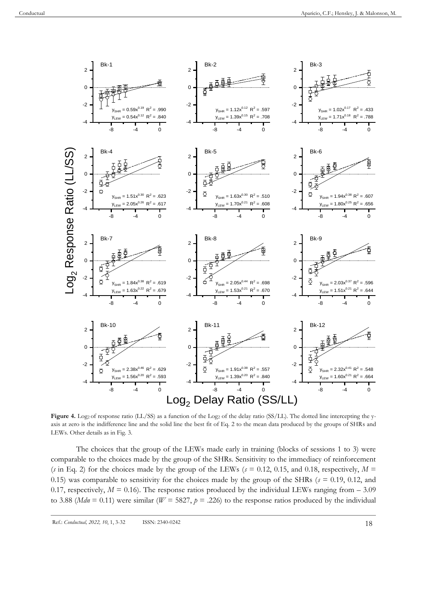

Figure 4. Log<sub>2</sub> of response ratio (LL/SS) as a function of the Log<sub>2</sub> of the delay ratio (SS/LL). The dotted line intercepting the yaxis at zero is the indifference line and the solid line the best fit of Eq. 2 to the mean data produced by the groups of SHRs and LEWs. Other details as in Fig. 3.

The choices that the group of the LEWs made early in training (blocks of sessions 1 to 3) were comparable to the choices made by the group of the SHRs. Sensitivity to the immediacy of reinforcement (*s* in Eq. 2) for the choices made by the group of the LEWs ( $s = 0.12, 0.15,$  and 0.18, respectively,  $M =$ 0.15) was comparable to sensitivity for the choices made by the group of the SHRs ( $s = 0.19, 0.12,$  and 0.17, respectively,  $M = 0.16$ ). The response ratios produced by the individual LEWs ranging from  $-3.09$ to 3.88 (*Mdn* = 0.11) were similar ( $W = 5827$ ,  $p = .226$ ) to the response ratios produced by the individual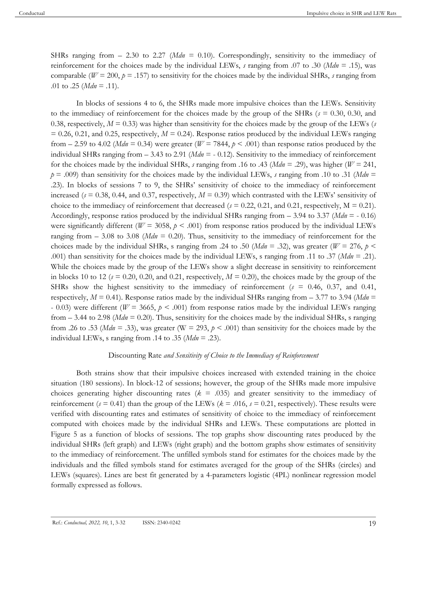SHRs ranging from  $- 2.30$  to 2.27 (*Mdn* = 0.10). Correspondingly, sensitivity to the immediacy of reinforcement for the choices made by the individual LEWs, *s* ranging from .07 to .30 (*Mdn* = .15), was comparable ( $W = 200$ ,  $p = .157$ ) to sensitivity for the choices made by the individual SHRs, *s* ranging from .01 to .25 ( $Mdn = .11$ ).

In blocks of sessions 4 to 6, the SHRs made more impulsive choices than the LEWs. Sensitivity to the immediacy of reinforcement for the choices made by the group of the SHRs (*s* = 0.30, 0.30, and 0.38, respectively,  $M = 0.33$ ) was higher than sensitivity for the choices made by the group of the LEWs (*s*  $= 0.26, 0.21,$  and 0.25, respectively,  $M = 0.24$ ). Response ratios produced by the individual LEWs ranging from  $-$  2.59 to 4.02 (*Mdn* = 0.34) were greater (*W* = 7844,  $p$  < .001) than response ratios produced by the individual SHRs ranging from – 3.43 to 2.91 (*Mdn* = - 0.12). Sensitivity to the immediacy of reinforcement for the choices made by the individual SHRs, *s* ranging from .16 to .43 (*Mdn* = .29), was higher ( $W = 241$ ,  $p = .009$ ) than sensitivity for the choices made by the individual LEWs, *s* ranging from .10 to .31 (*Mdn* = .23). In blocks of sessions 7 to 9, the SHRs' sensitivity of choice to the immediacy of reinforcement increased ( $s = 0.38, 0.44,$  and 0.37, respectively,  $M = 0.39$ ) which contrasted with the LEWs' sensitivity of choice to the immediacy of reinforcement that decreased ( $s = 0.22, 0.21$ , and 0.21, respectively,  $M = 0.21$ ). Accordingly, response ratios produced by the individual SHRs ranging from  $-$  3.94 to 3.37 (*Mdn*  $=$  - 0.16) were significantly different ( $W = 3058$ ,  $p < .001$ ) from response ratios produced by the individual LEWs ranging from  $-3.08$  to 3.08 (*Mdn* = 0.20). Thus, sensitivity to the immediacy of reinforcement for the choices made by the individual SHRs, s ranging from .24 to .50 ( $Mdn = .32$ ), was greater ( $W = 276$ ,  $p <$ .001) than sensitivity for the choices made by the individual LEWs, s ranging from .11 to .37 (*Mdn* = .21). While the choices made by the group of the LEWs show a slight decrease in sensitivity to reinforcement in blocks 10 to 12 ( $s = 0.20$ , 0.20, and 0.21, respectively,  $M = 0.20$ ), the choices made by the group of the SHRs show the highest sensitivity to the immediacy of reinforcement (*s* = 0.46, 0.37, and 0.41, respectively,  $M = 0.41$ ). Response ratios made by the individual SHRs ranging from  $- 3.77$  to 3.94 (*Mdn* = - 0.03) were different ( $W = 3665$ ,  $p \le 0.001$ ) from response ratios made by the individual LEWs ranging from – 3.44 to 2.98 (*Mdn* = 0.20). Thus, sensitivity for the choices made by the individual SHRs, s ranging from .26 to .53 (*Mdn* = .33), was greater (W = 293,  $p \le 0.001$ ) than sensitivity for the choices made by the individual LEWs, s ranging from .14 to .35 (*Mdn* = .23).

## Discounting Rate *and Sensitivity of Choice to the Immediacy of Reinforcement*

Both strains show that their impulsive choices increased with extended training in the choice situation (180 sessions). In block-12 of sessions; however, the group of the SHRs made more impulsive choices generating higher discounting rates (*k* = .035) and greater sensitivity to the immediacy of reinforcement ( $s = 0.41$ ) than the group of the LEWs ( $k = .016$ ,  $s = 0.21$ , respectively). These results were verified with discounting rates and estimates of sensitivity of choice to the immediacy of reinforcement computed with choices made by the individual SHRs and LEWs. These computations are plotted in Figure 5 as a function of blocks of sessions. The top graphs show discounting rates produced by the individual SHRs (left graph) and LEWs (right graph) and the bottom graphs show estimates of sensitivity to the immediacy of reinforcement. The unfilled symbols stand for estimates for the choices made by the individuals and the filled symbols stand for estimates averaged for the group of the SHRs (circles) and LEWs (squares). Lines are best fit generated by a 4-parameters logistic (4PL) nonlinear regression model formally expressed as follows.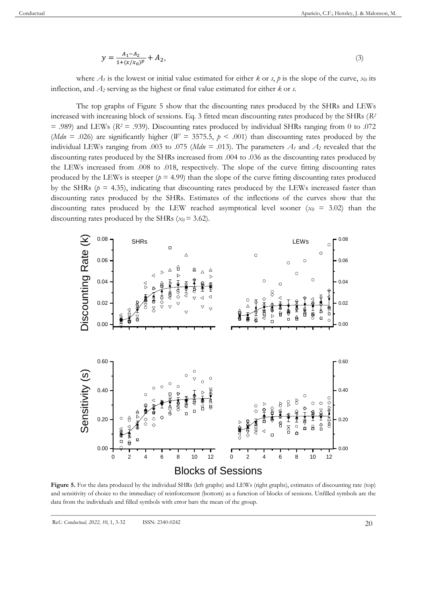$$
y = \frac{A_1 - A_2}{1 + (x/x_0)^p} + A_2,\tag{3}
$$

where  $A_I$  is the lowest or initial value estimated for either *k* or *s*, *p* is the slope of the curve,  $x_0$  its inflection, and *A<sup>2</sup>* serving as the highest or final value estimated for either *k* or *s*.

The top graphs of Figure 5 show that the discounting rates produced by the SHRs and LEWs increased with increasing block of sessions. Eq. 3 fitted mean discounting rates produced by the SHRs (*R<sup>2</sup>*  $=$  .989) and LEWs ( $R$ <sup>2</sup> = .939). Discounting rates produced by individual SHRs ranging from 0 to .072 (*Mdn* = .026) are significantly higher ( $W = 3575.5$ ,  $p < .001$ ) than discounting rates produced by the individual LEWs ranging from .003 to .075 (*Mdn* = .013). The parameters  $A_1$  and  $A_2$  revealed that the discounting rates produced by the SHRs increased from .004 to .036 as the discounting rates produced by the LEWs increased from .008 to .018, respectively. The slope of the curve fitting discounting rates produced by the LEWs is steeper  $(p = 4.99)$  than the slope of the curve fitting discounting rates produced by the SHRs ( $p = 4.35$ ), indicating that discounting rates produced by the LEWs increased faster than discounting rates produced by the SHRs. Estimates of the inflections of the curves show that the discounting rates produced by the LEW reached asymptotical level sooner ( $x_0$  = 3.02) than the discounting rates produced by the SHRs  $(x_0 = 3.62)$ .



**Figure 5.** For the data produced by the individual SHRs (left graphs) and LEWs (right graphs), estimates of discounting rate (top) and sensitivity of choice to the immediacy of reinforcement (bottom) as a function of blocks of sessions. Unfilled symbols are the data from the individuals and filled symbols with error bars the mean of the group.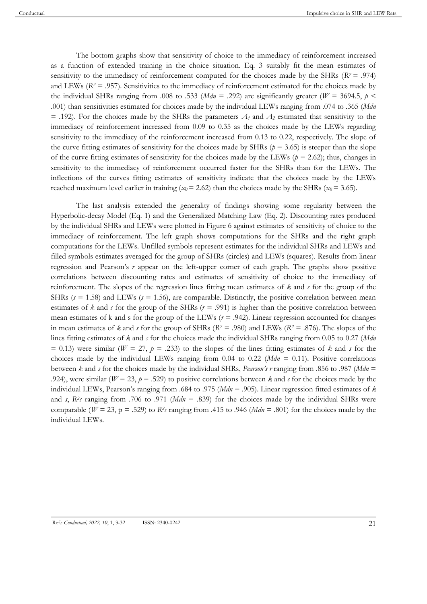The bottom graphs show that sensitivity of choice to the immediacy of reinforcement increased as a function of extended training in the choice situation. Eq. 3 suitably fit the mean estimates of sensitivity to the immediacy of reinforcement computed for the choices made by the SHRs (*R<sup>2</sup>* = .974) and LEWs ( $R^2$  = .957). Sensitivities to the immediacy of reinforcement estimated for the choices made by the individual SHRs ranging from .008 to .533 ( $Mdn = .292$ ) are significantly greater ( $W = 3694.5$ ,  $p \le$ .001) than sensitivities estimated for choices made by the individual LEWs ranging from .074 to .365 (*Mdn*  $=$  .192). For the choices made by the SHRs the parameters  $A_1$  and  $A_2$  estimated that sensitivity to the immediacy of reinforcement increased from 0.09 to 0.35 as the choices made by the LEWs regarding sensitivity to the immediacy of the reinforcement increased from 0.13 to 0.22, respectively. The slope of the curve fitting estimates of sensitivity for the choices made by SHRs ( $p = 3.65$ ) is steeper than the slope of the curve fitting estimates of sensitivity for the choices made by the LEWs ( $p = 2.62$ ); thus, changes in sensitivity to the immediacy of reinforcement occurred faster for the SHRs than for the LEWs. The inflections of the curves fitting estimates of sensitivity indicate that the choices made by the LEWs reached maximum level earlier in training ( $x_0$  = 2.62) than the choices made by the SHRs ( $x_0$  = 3.65).

The last analysis extended the generality of findings showing some regularity between the Hyperbolic-decay Model (Eq. 1) and the Generalized Matching Law (Eq. 2). Discounting rates produced by the individual SHRs and LEWs were plotted in Figure 6 against estimates of sensitivity of choice to the immediacy of reinforcement. The left graph shows computations for the SHRs and the right graph computations for the LEWs. Unfilled symbols represent estimates for the individual SHRs and LEWs and filled symbols estimates averaged for the group of SHRs (circles) and LEWs (squares). Results from linear regression and Pearson's *r* appear on the left-upper corner of each graph. The graphs show positive correlations between discounting rates and estimates of sensitivity of choice to the immediacy of reinforcement. The slopes of the regression lines fitting mean estimates of *k* and *s* for the group of the SHRs ( $s = 1.58$ ) and LEWs ( $s = 1.56$ ), are comparable. Distinctly, the positive correlation between mean estimates of  $k$  and  $s$  for the group of the SHRs ( $r = .991$ ) is higher than the positive correlation between mean estimates of k and s for the group of the LEWs  $(r = .942)$ . Linear regression accounted for changes in mean estimates of *k* and *s* for the group of SHRs ( $R$ <sup>2</sup> = .980) and LEWs ( $R$ <sup>2</sup> = .876). The slopes of the lines fitting estimates of *k* and *s* for the choices made the individual SHRs ranging from 0.05 to 0.27 (*Mdn*  $= 0.13$ ) were similar (*W* = 27, *p* = .233) to the slopes of the lines fitting estimates of *k* and *s* for the choices made by the individual LEWs ranging from  $0.04$  to  $0.22$  (*Mdn* = 0.11). Positive correlations between *k* and *s* for the choices made by the individual SHRs, *Pearson's r* ranging from .856 to .987 (*Mdn* = .924), were similar ( $W = 23$ ,  $p = .529$ ) to positive correlations between *k* and *s* for the choices made by the individual LEWs, Pearson's ranging from .684 to .975 (*Mdn* = .905). Linear regression fitted estimates of *k* and *s*,  $R^2$  *s* ranging from .706 to .971 (*Mdn* = .839) for the choices made by the individual SHRs were comparable ( $W = 23$ , p = .529) to *R*<sup>2</sup>*s* ranging from .415 to .946 ( $Mdn = .801$ ) for the choices made by the individual LEWs.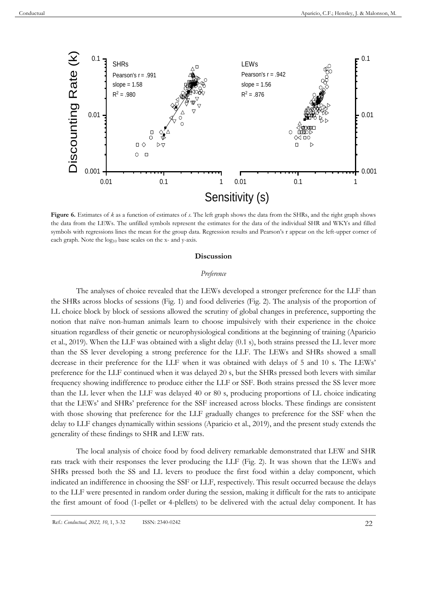

**Figure 6.** Estimates of *k* as a function of estimates of *s*. The left graph shows the data from the SHRs, and the right graph shows the data from the LEWs. The unfilled symbols represent the estimates for the data of the individual SHR and WKYs and filled symbols with regressions lines the mean for the group data. Regression results and Pearson's r appear on the left-upper corner of each graph. Note the log<sub>10</sub> base scales on the x- and y-axis.

## **Discussion**

## *Preference*

The analyses of choice revealed that the LEWs developed a stronger preference for the LLF than the SHRs across blocks of sessions (Fig. 1) and food deliveries (Fig. 2). The analysis of the proportion of LL choice block by block of sessions allowed the scrutiny of global changes in preference, supporting the notion that naïve non-human animals learn to choose impulsively with their experience in the choice situation regardless of their genetic or neurophysiological conditions at the beginning of training (Aparicio et al., 2019). When the LLF was obtained with a slight delay (0.1 s), both strains pressed the LL lever more than the SS lever developing a strong preference for the LLF. The LEWs and SHRs showed a small decrease in their preference for the LLF when it was obtained with delays of 5 and 10 s. The LEWs' preference for the LLF continued when it was delayed 20 s, but the SHRs pressed both levers with similar frequency showing indifference to produce either the LLF or SSF. Both strains pressed the SS lever more than the LL lever when the LLF was delayed 40 or 80 s, producing proportions of LL choice indicating that the LEWs' and SHRs' preference for the SSF increased across blocks. These findings are consistent with those showing that preference for the LLF gradually changes to preference for the SSF when the delay to LLF changes dynamically within sessions (Aparicio et al., 2019), and the present study extends the generality of these findings to SHR and LEW rats.

The local analysis of choice food by food delivery remarkable demonstrated that LEW and SHR rats track with their responses the lever producing the LLF (Fig. 2). It was shown that the LEWs and SHRs pressed both the SS and LL levers to produce the first food within a delay component, which indicated an indifference in choosing the SSF or LLF, respectively. This result occurred because the delays to the LLF were presented in random order during the session, making it difficult for the rats to anticipate the first amount of food (1-pellet or 4-plellets) to be delivered with the actual delay component. It has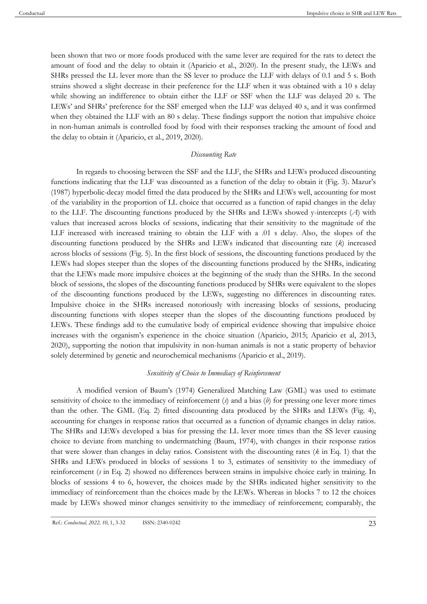been shown that two or more foods produced with the same lever are required for the rats to detect the amount of food and the delay to obtain it (Aparicio et al., 2020). In the present study, the LEWs and SHRs pressed the LL lever more than the SS lever to produce the LLF with delays of 0.1 and 5 s. Both strains showed a slight decrease in their preference for the LLF when it was obtained with a 10 s delay while showing an indifference to obtain either the LLF or SSF when the LLF was delayed 20 s. The LEWs' and SHRs' preference for the SSF emerged when the LLF was delayed 40 s, and it was confirmed when they obtained the LLF with an 80 s delay. These findings support the notion that impulsive choice in non-human animals is controlled food by food with their responses tracking the amount of food and the delay to obtain it (Aparicio, et al., 2019, 2020).

#### *Discounting Rate*

In regards to choosing between the SSF and the LLF, the SHRs and LEWs produced discounting functions indicating that the LLF was discounted as a function of the delay to obtain it (Fig. 3). Mazur's (1987) hyperbolic-decay model fitted the data produced by the SHRs and LEWs well, accounting for most of the variability in the proportion of LL choice that occurred as a function of rapid changes in the delay to the LLF. The discounting functions produced by the SHRs and LEWs showed y-intercepts (*A*) with values that increased across blocks of sessions, indicating that their sensitivity to the magnitude of the LLF increased with increased training to obtain the LLF with a .01 s delay. Also, the slopes of the discounting functions produced by the SHRs and LEWs indicated that discounting rate (*k*) increased across blocks of sessions (Fig. 5). In the first block of sessions, the discounting functions produced by the LEWs had slopes steeper than the slopes of the discounting functions produced by the SHRs, indicating that the LEWs made more impulsive choices at the beginning of the study than the SHRs. In the second block of sessions, the slopes of the discounting functions produced by SHRs were equivalent to the slopes of the discounting functions produced by the LEWs, suggesting no differences in discounting rates. Impulsive choice in the SHRs increased notoriously with increasing blocks of sessions, producing discounting functions with slopes steeper than the slopes of the discounting functions produced by LEWs. These findings add to the cumulative body of empirical evidence showing that impulsive choice increases with the organism's experience in the choice situation (Aparicio, 2015; Aparicio et al, 2013, 2020), supporting the notion that impulsivity in non-human animals is not a static property of behavior solely determined by genetic and neurochemical mechanisms (Aparicio et al., 2019).

#### *Sensitivity of Choice to Immediacy of Reinforcement*

A modified version of Baum's (1974) Generalized Matching Law (GML) was used to estimate sensitivity of choice to the immediacy of reinforcement (*s*) and a bias (*b*) for pressing one lever more times than the other. The GML (Eq. 2) fitted discounting data produced by the SHRs and LEWs (Fig. 4), accounting for changes in response ratios that occurred as a function of dynamic changes in delay ratios. The SHRs and LEWs developed a bias for pressing the LL lever more times than the SS lever causing choice to deviate from matching to undermatching (Baum, 1974), with changes in their response ratios that were slower than changes in delay ratios. Consistent with the discounting rates (*k* in Eq. 1) that the SHRs and LEWs produced in blocks of sessions 1 to 3, estimates of sensitivity to the immediacy of reinforcement (*s* in Eq. 2) showed no differences between strains in impulsive choice early in training. In blocks of sessions 4 to 6, however, the choices made by the SHRs indicated higher sensitivity to the immediacy of reinforcement than the choices made by the LEWs. Whereas in blocks 7 to 12 the choices made by LEWs showed minor changes sensitivity to the immediacy of reinforcement; comparably, the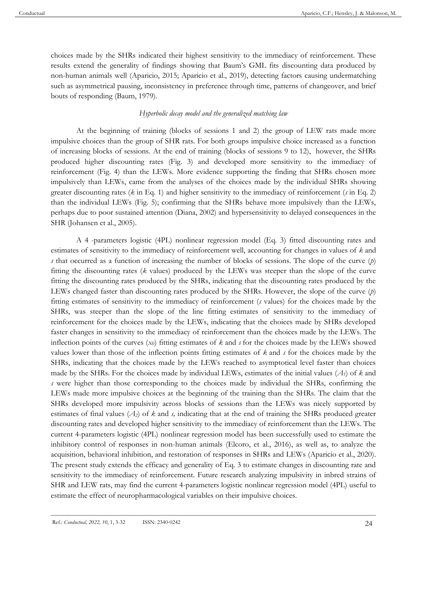choices made by the SHRs indicated their highest sensitivity to the immediacy of reinforcement. These results extend the generality of findings showing that Baum's GML fits discounting data produced by non-human animals well (Aparicio, 2015; Aparicio et al., 2019), detecting factors causing undermatching such as asymmetrical pausing, inconsistency in preference through time, patterns of changeover, and brief bouts of responding (Baum, 1979).

# *Hyperbolic decay model and the generalized matching law*

At the beginning of training (blocks of sessions 1 and 2) the group of LEW rats made more impulsive choices than the group of SHR rats. For both groups impulsive choice increased as a function of increasing blocks of sessions. At the end of training (blocks of sessions 9 to 12), however, the SHRs produced higher discounting rates (Fig. 3) and developed more sensitivity to the immediacy of reinforcement (Fig. 4) than the LEWs. More evidence supporting the finding that SHRs chosen more impulsively than LEWs, came from the analyses of the choices made by the individual SHRs showing greater discounting rates (*k* in Eq. 1) and higher sensitivity to the immediacy of reinforcement (*s* in Eq. 2) than the individual LEWs (Fig. 5); confirming that the SHRs behave more impulsively than the LEWs, perhaps due to poor sustained attention (Diana, 2002) and hypersensitivity to delayed consequences in the SHR (Johansen et al., 2005).

A 4 -parameters logistic (4PL) nonlinear regression model (Eq. 3) fitted discounting rates and estimates of sensitivity to the immediacy of reinforcement well, accounting for changes in values of *k* and *s* that occurred as a function of increasing the number of blocks of sessions. The slope of the curve (*p*) fitting the discounting rates (*k* values) produced by the LEWs was steeper than the slope of the curve fitting the discounting rates produced by the SHRs, indicating that the discounting rates produced by the LEWs changed faster than discounting rates produced by the SHRs. However, the slope of the curve (*p*) fitting estimates of sensitivity to the immediacy of reinforcement (*s* values) for the choices made by the SHRs, was steeper than the slope of the line fitting estimates of sensitivity to the immediacy of reinforcement for the choices made by the LEWs, indicating that the choices made by SHRs developed faster changes in sensitivity to the immediacy of reinforcement than the choices made by the LEWs. The inflection points of the curves (*x0*) fitting estimates of *k* and *s* for the choices made by the LEWs showed values lower than those of the inflection points fitting estimates of *k* and *s* for the choices made by the SHRs, indicating that the choices made by the LEWs reached to asymptotical level faster than choices made by the SHRs. For the choices made by individual LEWs, estimates of the initial values (*A1*) of *k* and *s* were higher than those corresponding to the choices made by individual the SHRs, confirming the LEWs made more impulsive choices at the beginning of the training than the SHRs. The claim that the SHRs developed more impulsivity across blocks of sessions than the LEWs was nicely supported by estimates of final values (*A2*) of *k* and *s,* indicating that at the end of training the SHRs produced greater discounting rates and developed higher sensitivity to the immediacy of reinforcement than the LEWs. The current 4-parameters logistic (4PL) nonlinear regression model has been successfully used to estimate the inhibitory control of responses in non-human animals (Elcoro, et al., 2016), as well as, to analyze the acquisition, behavioral inhibition, and restoration of responses in SHRs and LEWs (Aparicio et al., 2020). The present study extends the efficacy and generality of Eq. 3 to estimate changes in discounting rate and sensitivity to the immediacy of reinforcement. Future research analyzing impulsivity in inbred strains of SHR and LEW rats, may find the current 4-parameters logistic nonlinear regression model (4PL) useful to estimate the effect of neuropharmacological variables on their impulsive choices.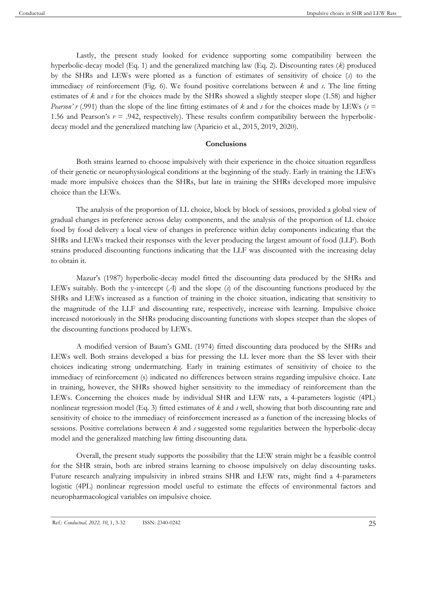Lastly, the present study looked for evidence supporting some compatibility between the hyperbolic-decay model (Eq. 1) and the generalized matching law (Eq. 2). Discounting rates (*k*) produced by the SHRs and LEWs were plotted as a function of estimates of sensitivity of choice (*s*) to the immediacy of reinforcement (Fig. 6). We found positive correlations between *k* and *s*. The line fitting estimates of *k* and *s* for the choices made by the SHRs showed a slightly steeper slope (1.58) and higher *Pearson' r* (.991) than the slope of the line fitting estimates of *k* and *s* for the choices made by LEWs (*s* = 1.56 and Pearson's  $r = .942$ , respectively). These results confirm compatibility between the hyperbolicdecay model and the generalized matching law (Aparicio et al., 2015, 2019, 2020).

# **Conclusions**

Both strains learned to choose impulsively with their experience in the choice situation regardless of their genetic or neurophysiological conditions at the beginning of the study. Early in training the LEWs made more impulsive choices than the SHRs, but late in training the SHRs developed more impulsive choice than the LEWs.

The analysis of the proportion of LL choice, block by block of sessions, provided a global view of gradual changes in preference across delay components, and the analysis of the proportion of LL choice food by food delivery a local view of changes in preference within delay components indicating that the SHRs and LEWs tracked their responses with the lever producing the largest amount of food (LLF). Both strains produced discounting functions indicating that the LLF was discounted with the increasing delay to obtain it.

Mazur's (1987) hyperbolic-decay model fitted the discounting data produced by the SHRs and LEWs suitably. Both the y-intercept (*A*) and the slope (*s*) of the discounting functions produced by the SHRs and LEWs increased as a function of training in the choice situation, indicating that sensitivity to the magnitude of the LLF and discounting rate, respectively, increase with learning. Impulsive choice increased notoriously in the SHRs producing discounting functions with slopes steeper than the slopes of the discounting functions produced by LEWs.

A modified version of Baum's GML (1974) fitted discounting data produced by the SHRs and LEWs well. Both strains developed a bias for pressing the LL lever more than the SS lever with their choices indicating strong undermatching. Early in training estimates of sensitivity of choice to the immediacy of reinforcement (s) indicated no differences between strains regarding impulsive choice. Late in training, however, the SHRs showed higher sensitivity to the immediacy of reinforcement than the LEWs. Concerning the choices made by individual SHR and LEW rats, a 4-parameters logistic (4PL) nonlinear regression model (Eq. 3) fitted estimates of *k* and *s* well, showing that both discounting rate and sensitivity of choice to the immediacy of reinforcement increased as a function of the increasing blocks of sessions. Positive correlations between *k* and *s* suggested some regularities between the hyperbolic-decay model and the generalized matching law fitting discounting data.

Overall, the present study supports the possibility that the LEW strain might be a feasible control for the SHR strain, both are inbred strains learning to choose impulsively on delay discounting tasks. Future research analyzing impulsivity in inbred strains SHR and LEW rats, might find a 4-parameters logistic (4PL) nonlinear regression model useful to estimate the effects of environmental factors and neuropharmacological variables on impulsive choice.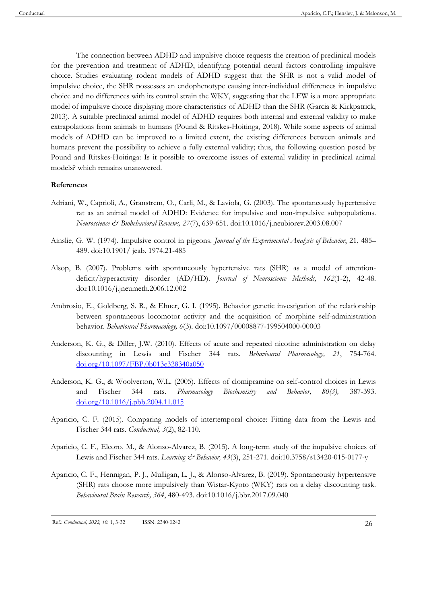The connection between ADHD and impulsive choice requests the creation of preclinical models for the prevention and treatment of ADHD, identifying potential neural factors controlling impulsive choice. Studies evaluating rodent models of ADHD suggest that the SHR is not a valid model of impulsive choice, the SHR possesses an endophenotype causing inter-individual differences in impulsive choice and no differences with its control strain the WKY, suggesting that the LEW is a more appropriate model of impulsive choice displaying more characteristics of ADHD than the SHR (Garcia & Kirkpatrick, 2013). A suitable preclinical animal model of ADHD requires both internal and external validity to make extrapolations from animals to humans (Pound & Ritskes-Hoitinga, 2018). While some aspects of animal models of ADHD can be improved to a limited extent, the existing differences between animals and humans prevent the possibility to achieve a fully external validity; thus, the following question posed by Pound and Ritskes-Hoitinga: Is it possible to overcome issues of external validity in preclinical animal models? which remains unanswered.

## **References**

- Adriani, W., Caprioli, A., Granstrem, O., Carli, M., & Laviola, G. (2003). The spontaneously hypertensive rat as an animal model of ADHD: Evidence for impulsive and non-impulsive subpopulations. *Neuroscience & Biobehavioral Reviews, 27*(7), 639-651. doi:10.1016/j.neubiorev.2003.08.007
- Ainslie, G. W. (1974). Impulsive control in pigeons. *Journal of the Experimental Analysis of Behavior*, 21, 485– 489. doi:10.1901/ jeab. 1974.21-485
- Alsop, B. (2007). Problems with spontaneously hypertensive rats (SHR) as a model of attentiondeficit/hyperactivity disorder (AD/HD). *Journal of Neuroscience Methods, 162*(1-2), 42-48. doi:10.1016/j.jneumeth.2006.12.002
- Ambrosio, E., Goldberg, S. R., & Elmer, G. I. (1995). Behavior genetic investigation of the relationship between spontaneous locomotor activity and the acquisition of morphine self-administration behavior. *Behavioural Pharmacology, 6*(3). doi:10.1097/00008877-199504000-00003
- Anderson, K. G., & Diller, J.W. (2010). Effects of acute and repeated nicotine administration on delay discounting in Lewis and Fischer 344 rats. *Behavioural Pharmacology, 21*, 754-764. [doi.org/10.1097/FBP.0b013e328340a050](https://psycnet.apa.org/doi/10.1097/FBP.0b013e328340a050)
- Anderson, K. G., & Woolverton, W.L. (2005). Effects of clomipramine on self-control choices in Lewis and Fischer 344 rats. *Pharmacology Biochemistry and Behavior, 80(3),* 387-393. [doi.org/10.1016/j.pbb.2004.11.015](https://doi.org/10.1016/j.pbb.2004.11.015)
- Aparicio, C. F. (2015). Comparing models of intertemporal choice: Fitting data from the Lewis and Fischer 344 rats. *Conductual, 3*(2), 82-110.
- Aparicio, C. F., Elcoro, M., & Alonso-Alvarez, B. (2015). A long-term study of the impulsive choices of Lewis and Fischer 344 rats. *Learning & Behavior, 43*(3), 251-271. doi:10.3758/s13420-015-0177-y
- Aparicio, C. F., Hennigan, P. J., Mulligan, L. J., & Alonso-Alvarez, B. (2019). Spontaneously hypertensive (SHR) rats choose more impulsively than Wistar-Kyoto (WKY) rats on a delay discounting task. *Behavioural Brain Research, 364*, 480-493. doi:10.1016/j.bbr.2017.09.040

Ref.: *Conductual, 2022, 10*, 1, 3-32 ISSN: 2340-0242 26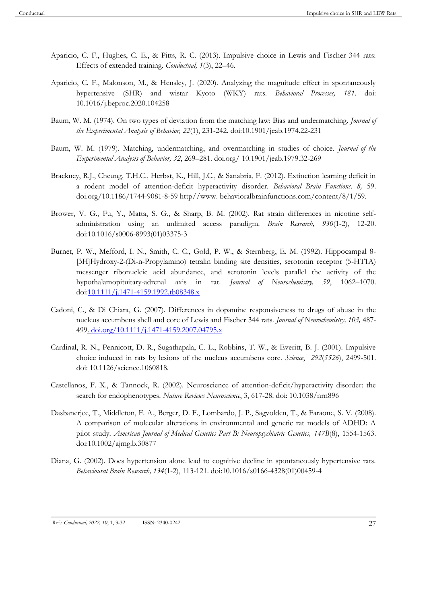- Aparicio, C. F., Hughes, C. E., & Pitts, R. C. (2013). Impulsive choice in Lewis and Fischer 344 rats: Effects of extended training. *Conductual, 1*(3), 22–46.
- Aparicio, C. F., Malonson, M., & Hensley, J. (2020). Analyzing the magnitude effect in spontaneously hypertensive (SHR) and wistar Kyoto (WKY) rats. *Behavioral Processes, 181*. doi: 10.1016/j.beproc.2020.104258
- Baum, W. M. (1974). On two types of deviation from the matching law: Bias and undermatching. *Journal of the Experimental Analysis of Behavior, 22*(1), 231-242. doi:10.1901/jeab.1974.22-231
- Baum, W. M. (1979). Matching, undermatching, and overmatching in studies of choice. *Journal of the Experimental Analysis of Behavior, 32*, 269–281. doi.org/ 10.1901/jeab.1979.32-269
- Brackney, R.J., Cheung, T.H.C., Herbst, K., Hill, J.C., & Sanabria, F. (2012). Extinction learning deficit in a rodent model of attention-deficit hyperactivity disorder. *Behavioral Brain Functions. 8,* 59. doi.org/10.1186/1744-9081-8-59 http//www. behavioralbrainfunctions.com/content/8/1/59.
- Brower, V. G., Fu, Y., Matta, S. G., & Sharp, B. M. (2002). Rat strain differences in nicotine selfadministration using an unlimited access paradigm. *Brain Research, 930*(1-2), 12-20. doi:10.1016/s0006-8993(01)03375-3
- Burnet, P. W., Mefford, I. N., Smith, C. C., Gold, P. W., & Sternberg, E. M. (1992). Hippocampal 8- [3H]Hydroxy-2-(Di-n-Propylamino) tetralin binding site densities, serotonin receptor (5-HT1A) messenger ribonucleic acid abundance, and serotonin levels parallel the activity of the hypothalamopituitary-adrenal axis in rat. *Journal of Neurochemistry, 59*, 1062–1070. do[i:10.1111/j.1471-4159.1992.tb08348.x](https://doi.org/10.1111/j.1471-4159.1992.tb08348.x)
- Cadoni, C., & Di Chiara, G. (2007). Differences in dopamine responsiveness to drugs of abuse in the nucleus accumbens shell and core of Lewis and Fischer 344 rats. *Journal of Neurochemistry, 103,* 487- 499. [doi.org/10.1111/j.1471-4159.2007.04795.x](https://doi.org/10.1111/j.1471-4159.2007.04795.x)
- Cardinal, R. N., Pennicott, D. R., Sugathapala, C. L., Robbins, T. W., & Everitt, B. J. (2001). Impulsive choice induced in rats by lesions of the nucleus accumbens core. *Science*, *292*(*5526*), 2499-501. doi: 10.1126/science.1060818.
- Castellanos, F. X., & Tannock, R. (2002). Neuroscience of attention-deficit/hyperactivity disorder: the search for endophenotypes. *Nature Reviews Neuroscience*, 3, 617-28. doi: 10.1038/nrn896
- Dasbanerjee, T., Middleton, F. A., Berger, D. F., Lombardo, J. P., Sagvolden, T., & Faraone, S. V. (2008). A comparison of molecular alterations in environmental and genetic rat models of ADHD: A pilot study. *American Journal of Medical Genetics Part B: Neuropsychiatric Genetics, 147B*(8), 1554-1563. doi:10.1002/ajmg.b.30877
- Diana, G. (2002). Does hypertension alone lead to cognitive decline in spontaneously hypertensive rats. *Behavioural Brain Research, 134*(1-2), 113-121. doi:10.1016/s0166-4328(01)00459-4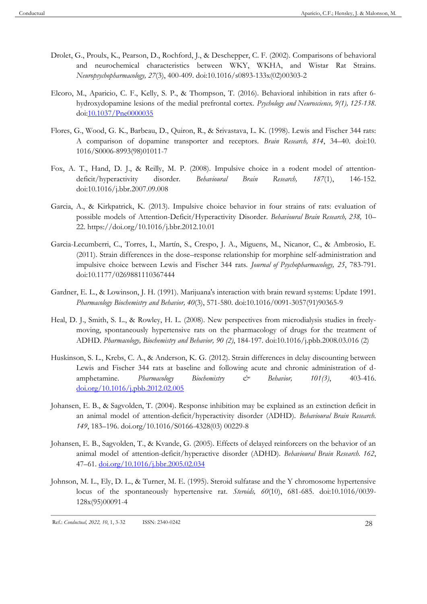- Drolet, G., Proulx, K., Pearson, D., Rochford, J., & Deschepper, C. F. (2002). Comparisons of behavioral and neurochemical characteristics between WKY, WKHA, and Wistar Rat Strains. *Neuropsychopharmacology, 27*(3), 400-409. doi:10.1016/s0893-133x(02)00303-2
- Elcoro, M., Aparicio, C. F., Kelly, S. P., & Thompson, T. (2016). Behavioral inhibition in rats after 6 hydroxydopamine lesions of the medial prefrontal cortex. *Psychology and Neuroscience, 9(1), 125-138*. do[i:10.1037/Pne0000035](http://doi.org/10.1037/Pne0000035)
- Flores, G., Wood, G. K., Barbeau, D., Quiron, R., & Srivastava, L. K. (1998). Lewis and Fischer 344 rats: A comparison of dopamine transporter and receptors. *Brain Research, 814*, 34–40. doi:10. 1016/S0006-8993(98)01011-7
- Fox, A. T., Hand, D. J., & Reilly, M. P. (2008). Impulsive choice in a rodent model of attentiondeficit/hyperactivity disorder. *Behavioural Brain Research, 187*(1), 146-152. doi:10.1016/j.bbr.2007.09.008
- Garcia, A., & Kirkpatrick, K. (2013). Impulsive choice behavior in four strains of rats: evaluation of possible models of Attention-Deficit/Hyperactivity Disorder. *Behavioural Brain Research, 238,* 10– 22. https://doi.org/10.1016/j.bbr.2012.10.01
- Garcia-Lecumberri, C., Torres, I., Martín, S., Crespo, J. A., Miguens, M., Nicanor, C., & Ambrosio, E. (2011). Strain differences in the dose–response relationship for morphine self-administration and impulsive choice between Lewis and Fischer 344 rats. *Journal of Psychopharmacology, 25*, 783-791. doi:10.1177/0269881110367444
- Gardner, E. L., & Lowinson, J. H. (1991). Marijuana's interaction with brain reward systems: Update 1991. *Pharmacology Biochemistry and Behavior, 40*(3), 571-580. doi:10.1016/0091-3057(91)90365-9
- Heal, D. J., Smith, S. L., & Rowley, H. L. (2008). New perspectives from microdialysis studies in freelymoving, spontaneously hypertensive rats on the pharmacology of drugs for the treatment of ADHD. *Pharmacology, Biochemistry and Behavior, 90 (2)*, 184-197. doi:10.1016/j.pbb.2008.03.016 (2)
- Huskinson, S. L., Krebs, C. A., & Anderson, K. G. (2012). Strain differences in delay discounting between Lewis and Fischer 344 rats at baseline and following acute and chronic administration of damphetamine. *Pharmacology Biochemistry & Behavior, 101(3)*, 403-416. [doi.org/10.1016/j.pbb.2012.02.005](https://psycnet.apa.org/doi/10.1016/j.pbb.2012.02.005)
- Johansen, E. B., & Sagvolden, T. (2004). Response inhibition may be explained as an extinction deficit in an animal model of attention-deficit/hyperactivity disorder (ADHD). *Behavioural Brain Research. 149*, 183–196. doi.org/10.1016/S0166-4328(03) 00229-8
- Johansen, E. B., Sagvolden, T., & Kvande, G. (2005). Effects of delayed reinforcers on the behavior of an animal model of attention-deficit/hyperactive disorder (ADHD). *Behavioural Brain Research. 162*, 47–61. [doi.org/10.1016/j.bbr.2005.02.034](https://doi.org/10.1016/j.bbr.2005.02.034)
- Johnson, M. L., Ely, D. L., & Turner, M. E. (1995). Steroid sulfatase and the Y chromosome hypertensive locus of the spontaneously hypertensive rat. *Steroids, 60*(10), 681-685. doi:10.1016/0039- 128x(95)00091-4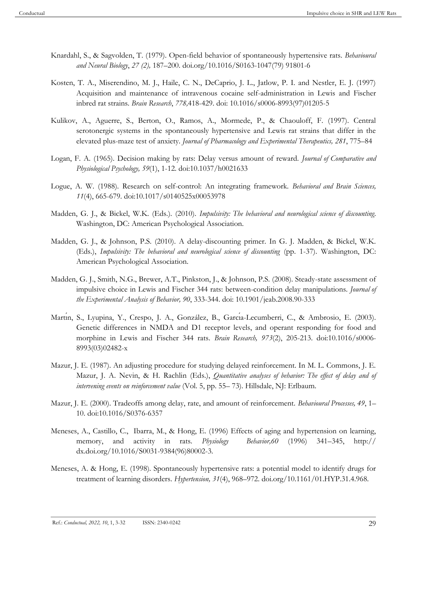- Knardahl, S., & Sagvolden, T. (1979). Open-field behavior of spontaneously hypertensive rats. *Behavioural and Neural Biology*, *27 (2),* 187–200. doi.org/10.1016/S0163-1047(79) 91801-6
- Kosten, T. A., Miserendino, M. J., Haile, C. N., DeCaprio, J. L., Jatlow, P. I. and Nestler, E. J. (1997) Acquisition and maintenance of intravenous cocaine self-administration in Lewis and Fischer inbred rat strains. *Brain Research*, *778,*418-429. doi: 10.1016/s0006-8993(97)01205-5
- Kulikov, A., Aguerre, S., Berton, O., Ramos, A., Mormede, P., & Chaouloff, F. (1997). Central serotonergic systems in the spontaneously hypertensive and Lewis rat strains that differ in the elevated plus-maze test of anxiety. *Journal of Pharmacology and Experimental Therapeutics, 281*, 775–84
- Logan, F. A. (1965). Decision making by rats: Delay versus amount of reward. *Journal of Comparative and Physiological Psychology, 59*(1), 1-12. doi:10.1037/h0021633
- Logue, A. W. (1988). Research on self-control: An integrating framework. *Behavioral and Brain Sciences, 11*(4), 665-679. doi:10.1017/s0140525x00053978
- Madden, G. J., & Bickel, W.K. (Eds.). (2010). *Impulsivity: The behavioral and neurological science of discounting*. Washington, DC: American Psychological Association.
- Madden, G. J., & Johnson, P.S. (2010). A delay-discounting primer. In G. J. Madden, & Bickel, W.K. (Eds.), *Impulsivity: The behavioral and neurological science of discounting* (pp. 1-37). Washington, DC: American Psychological Association.
- Madden, G. J., Smith, N.G., Brewer, A.T., Pinkston, J., & Johnson, P.S. (2008). Steady-state assessment of impulsive choice in Lewis and Fischer 344 rats: between-condition delay manipulations. *Journal of the Experimental Analysis of Behavior, 90*, 333-344. doi: 10.1901/jeab.2008.90-333
- Martin, S., Lyupina, Y., Crespo, J. A., González, B., García-Lecumberri, C., & Ambrosio, E. (2003). Genetic differences in NMDA and D1 receptor levels, and operant responding for food and morphine in Lewis and Fischer 344 rats. *Brain Research, 973*(2), 205-213. doi:10.1016/s0006- 8993(03)02482-x
- Mazur, J. E. (1987). An adjusting procedure for studying delayed reinforcement. In M. L. Commons, J. E. Mazur, J. A. Nevin, & H. Rachlin (Eds.), *Quantitative analyses of behavior: The effect of delay and of intervening events on reinforcement value* (Vol. 5, pp. 55– 73). Hillsdale, NJ: Erlbaum.
- Mazur, J. E. (2000). Tradeoffs among delay, rate, and amount of reinforcement. *Behavioural Processes, 49*, 1– 10. doi:10.1016/S0376-6357
- Meneses, A., Castillo, C., Ibarra, M., & Hong, E. (1996) Effects of aging and hypertension on learning, memory, and activity in rats. *Physiology Behavior,60* (1996) 341–345, http:// dx.doi.org/10.1016/S0031-9384(96)80002-3.
- Meneses, A. & Hong, E. (1998). Spontaneously hypertensive rats: a potential model to identify drugs for treatment of learning disorders. *Hypertension, 31*(4), 968–972. doi.org/10.1161/01.HYP.31.4.968.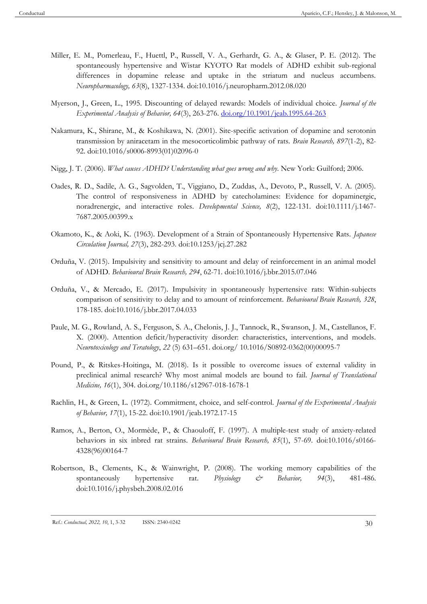- Miller, E. M., Pomerleau, F., Huettl, P., Russell, V. A., Gerhardt, G. A., & Glaser, P. E. (2012). The spontaneously hypertensive and Wistar KYOTO Rat models of ADHD exhibit sub-regional differences in dopamine release and uptake in the striatum and nucleus accumbens. *Neuropharmacology, 63*(8), 1327-1334. doi:10.1016/j.neuropharm.2012.08.020
- Myerson, J., Green, L., 1995. Discounting of delayed rewards: Models of individual choice. *Journal of the Experimental Analysis of Behavior, 64*(3), 263-276. [doi.org/10.1901/jeab.1995.64-263](https://doi.org/10.1901/jeab.1995.64-263)
- Nakamura, K., Shirane, M., & Koshikawa, N. (2001). Site-specific activation of dopamine and serotonin transmission by aniracetam in the mesocorticolimbic pathway of rats. *Brain Research, 897*(1-2), 82- 92. doi:10.1016/s0006-8993(01)02096-0
- Nigg, J. T. (2006). *What causes ADHD? Understanding what goes wrong and why*. New York: Guilford; 2006.
- Oades, R. D., Sadile, A. G., Sagvolden, T., Viggiano, D., Zuddas, A., Devoto, P., Russell, V. A. (2005). The control of responsiveness in ADHD by catecholamines: Evidence for dopaminergic, noradrenergic, and interactive roles. *Developmental Science, 8*(2), 122-131. doi:10.1111/j.1467- 7687.2005.00399.x
- Okamoto, K., & Aoki, K. (1963). Development of a Strain of Spontaneously Hypertensive Rats. *Japanese Circulation Journal, 27*(3), 282-293. doi:10.1253/jcj.27.282
- Orduña, V. (2015). Impulsivity and sensitivity to amount and delay of reinforcement in an animal model of ADHD. *Behavioural Brain Research, 294*, 62-71. doi:10.1016/j.bbr.2015.07.046
- Orduña, V., & Mercado, E. (2017). Impulsivity in spontaneously hypertensive rats: Within-subjects comparison of sensitivity to delay and to amount of reinforcement. *Behavioural Brain Research, 328*, 178-185. doi:10.1016/j.bbr.2017.04.033
- Paule, M. G., Rowland, A. S., Ferguson, S. A., Chelonis, J. J., Tannock, R., Swanson, J. M., Castellanos, F. X. (2000). Attention deficit/hyperactivity disorder: characteristics, interventions, and models. *Neurotoxicology and Teratology*, *22* (5) 631–651. doi.org/ 10.1016/S0892-0362(00)00095-7
- Pound, P., & Ritskes-Hoitinga, M. (2018). Is it possible to overcome issues of external validity in preclinical animal research? Why most animal models are bound to fail. *Journal of Translational Medicine, 16*(1), 304. doi.org/10.1186/s12967-018-1678-1
- Rachlin, H., & Green, L. (1972). Commitment, choice, and self-control. *Journal of the Experimental Analysis of Behavior, 17*(1), 15-22. doi:10.1901/jeab.1972.17-15
- Ramos, A., Berton, O., Mormède, P., & Chaouloff, F. (1997). A multiple-test study of anxiety-related behaviors in six inbred rat strains. *Behavioural Brain Research, 85*(1), 57-69. doi:10.1016/s0166- 4328(96)00164-7
- Robertson, B., Clements, K., & Wainwright, P. (2008). The working memory capabilities of the spontaneously hypertensive rat. *Physiology & Behavior, 94*(3), 481-486. doi:10.1016/j.physbeh.2008.02.016

Ref.: *Conductual, 2022, 10*, 1, 3-32 ISSN: 2340-0242 30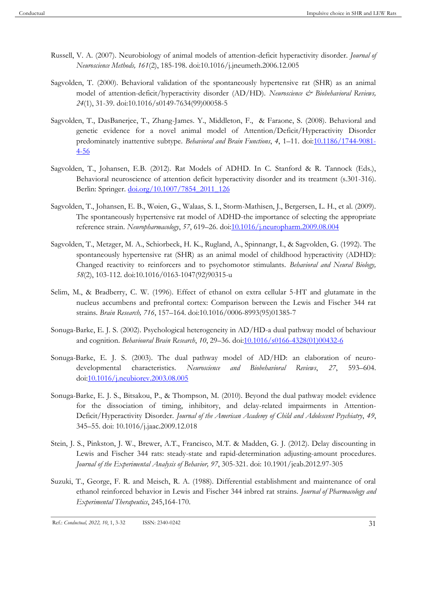- Russell, V. A. (2007). Neurobiology of animal models of attention-deficit hyperactivity disorder. *Journal of Neuroscience Methods, 161*(2), 185-198. doi:10.1016/j.jneumeth.2006.12.005
- Sagvolden, T. (2000). Behavioral validation of the spontaneously hypertensive rat (SHR) as an animal model of attention-deficit/hyperactivity disorder (AD/HD). *Neuroscience & Biobehavioral Reviews*, *24*(1), 31-39. doi:10.1016/s0149-7634(99)00058-5
- Sagvolden, T., DasBanerjee, T., Zhang-James. Y., Middleton, F., & Faraone, S. (2008). Behavioral and genetic evidence for a novel animal model of Attention/Deficit/Hyperactivity Disorder predominately inattentive subtype. *Behavioral and Brain Functions*, *4*, 1–11. do[i:10.1186/1744-9081-](https://dx.doi.org/10.1186%2F1744-9081-4-56) [4-56](https://dx.doi.org/10.1186%2F1744-9081-4-56)
- Sagvolden, T., Johansen, E.B. (2012). Rat Models of ADHD. In C. Stanford & R. Tannock (Eds.), Behavioral neuroscience of attention deficit hyperactivity disorder and its treatment (s.301-316). Berlin: Springer. [doi.org/10.1007/7854\\_2011\\_126](http://dx.doi.org/10.1007/7854_2011_126)
- Sagvolden, T., Johansen, E. B., Wøien, G., Walaas, S. I., Storm-Mathisen, J., Bergersen, L. H., et al. (2009). The spontaneously hypertensive rat model of ADHD-the importance of selecting the appropriate reference strain. *Neuropharmacology*, *57*, 619–26. do[i:10.1016/j.neuropharm.2009.08.004](https://dx.doi.org/10.1016%2Fj.neuropharm.2009.08.004)
- Sagvolden, T., Metzger, M. A., Schiorbeck, H. K., Rugland, A., Spinnangr, I., & Sagvolden, G. (1992). The spontaneously hypertensive rat (SHR) as an animal model of childhood hyperactivity (ADHD): Changed reactivity to reinforcers and to psychomotor stimulants. *Behavioral and Neural Biology, 58*(2), 103-112. doi:10.1016/0163-1047(92)90315-u
- Selim, M., & Bradberry, C. W. (1996). Effect of ethanol on extra cellular 5-HT and glutamate in the nucleus accumbens and prefrontal cortex: Comparison between the Lewis and Fischer 344 rat strains. *Brain Research, 716*, 157–164. doi:10.1016/0006-8993(95)01385-7
- Sonuga-Barke, E. J. S. (2002). Psychological heterogeneity in AD/HD-a dual pathway model of behaviour and cognition. *Behavioural Brain Research*, *10*, 29–36. doi[:10.1016/s0166-4328\(01\)00432-6](https://doi.org/10.1016/s0166-4328(01)00432-6)
- Sonuga-Barke, E. J. S. (2003). The dual pathway model of AD/HD: an elaboration of neurodevelopmental characteristics. *Neuroscience and Biobehavioral Reviews*, *27*, 593–604. do[i:10.1016/j.neubiorev.2003.08.005](https://doi.org/10.1016/j.neubiorev.2003.08.005)
- Sonuga-Barke, E. J. S., Bitsakou, P., & Thompson, M. (2010). Beyond the dual pathway model: evidence for the dissociation of timing, inhibitory, and delay-related impairments in Attention-Deficit/Hyperactivity Disorder. *Journal of the American Academy of Child and Adolescent Psychiatry*, *49*, 345–55. doi: 10.1016/j.jaac.2009.12.018
- Stein, J. S., Pinkston, J. W., Brewer, A.T., Francisco, M.T. & Madden, G. J. (2012). Delay discounting in Lewis and Fischer 344 rats: steady-state and rapid-determination adjusting-amount procedures. *Journal of the Experimental Analysis of Behavior, 97*, 305-321. doi: 10.1901/jeab.2012.97-305
- Suzuki, T., George, F. R. and Meisch, R. A. (1988). Differential establishment and maintenance of oral ethanol reinforced behavior in Lewis and Fischer 344 inbred rat strains. *Journal of Pharmacology and Experimental Therapeutics*, 245,164-170.